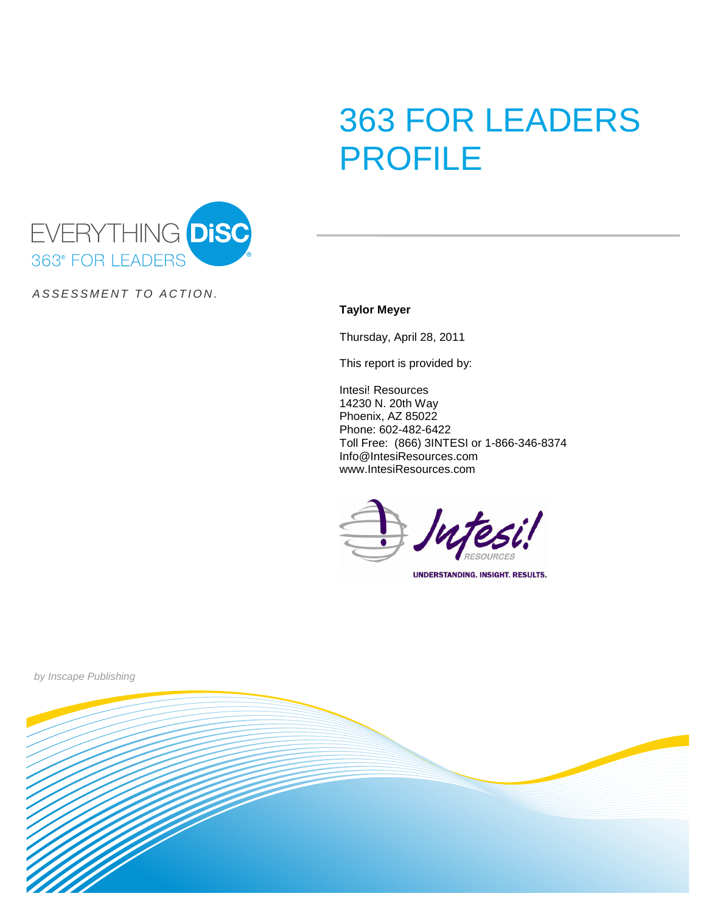# 363 FOR LEADERS PROFILE



ASSESSMENT TO ACTION.

**Taylor Meyer**

Thursday, April 28, 2011

This report is provided by:

Intesi! Resources 14230 N. 20th Way Phoenix, AZ 85022 Phone: 602-482-6422 Toll Free: (866) 3INTESI or 1-866-346-8374 Info@IntesiResources.com www.IntesiResources.com

**UNDERSTANDING. INSIGHT. RESULTS.** 



by Inscape Publishing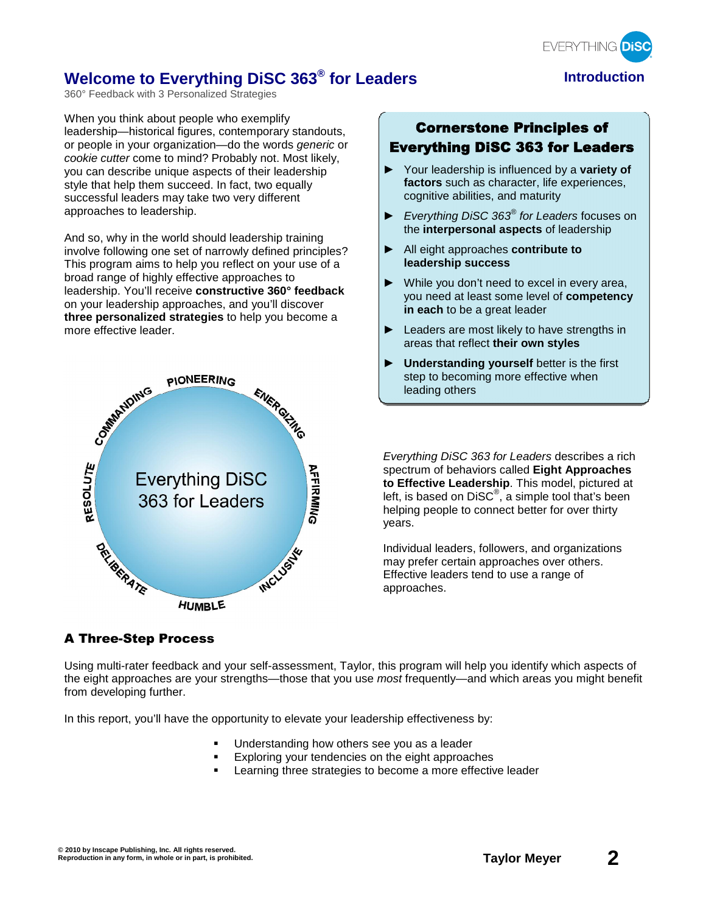

## **Welcome to Everything DiSC 363<sup>®</sup> for Leaders <b>Introduction**

360° Feedback with 3 Personalized Strategies

When you think about people who exemplify leadership—historical figures, contemporary standouts, or people in your organization—do the words generic or cookie cutter come to mind? Probably not. Most likely, you can describe unique aspects of their leadership style that help them succeed. In fact, two equally successful leaders may take two very different approaches to leadership.

And so, why in the world should leadership training involve following one set of narrowly defined principles? This program aims to help you reflect on your use of a broad range of highly effective approaches to leadership. You'll receive **constructive 360° feedback** on your leadership approaches, and you'll discover **three personalized strategies** to help you become a more effective leader.



## Cornerstone Principles of Everything DiSC 363 for Leaders

- Your leadership is influenced by a **variety of factors** such as character, life experiences, cognitive abilities, and maturity
- Everything DiSC  $363^{\circ}$  for Leaders focuses on the **interpersonal aspects** of leadership
- All eight approaches **contribute to leadership success**
- $\blacktriangleright$  While you don't need to excel in every area, you need at least some level of **competency in each** to be a great leader
- Exercise are most likely to have strengths in areas that reflect **their own styles**
- $\blacktriangleright$  Understanding yourself better is the first step to becoming more effective when leading others

Everything DiSC 363 for Leaders describes a rich spectrum of behaviors called **Eight Approaches to Effective Leadership**. This model, pictured at left, is based on DiSC $^{\circ}$ , a simple tool that's been helping people to connect better for over thirty years.

Individual leaders, followers, and organizations may prefer certain approaches over others. Effective leaders tend to use a range of approaches.

## A Three-Step Process

Using multi-rater feedback and your self-assessment, Taylor, this program will help you identify which aspects of the eight approaches are your strengths—those that you use most frequently—and which areas you might benefit from developing further.

In this report, you'll have the opportunity to elevate your leadership effectiveness by:

- Understanding how others see you as a leader
- Exploring your tendencies on the eight approaches
- Learning three strategies to become a more effective leader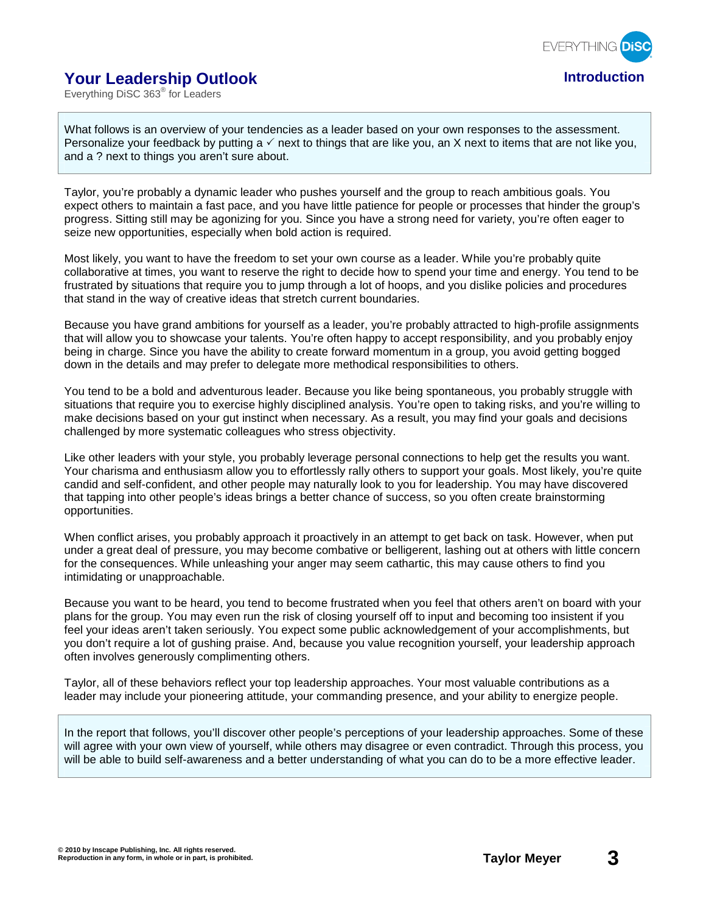

## **Your Leadership Outlook Introduction**

Everything DiSC 363® for Leaders

What follows is an overview of your tendencies as a leader based on your own responses to the assessment. Personalize your feedback by putting a  $\checkmark$  next to things that are like you, an X next to items that are not like you, and a ? next to things you aren't sure about.

Taylor, you're probably a dynamic leader who pushes yourself and the group to reach ambitious goals. You expect others to maintain a fast pace, and you have little patience for people or processes that hinder the group's progress. Sitting still may be agonizing for you. Since you have a strong need for variety, you're often eager to seize new opportunities, especially when bold action is required.

Most likely, you want to have the freedom to set your own course as a leader. While you're probably quite collaborative at times, you want to reserve the right to decide how to spend your time and energy. You tend to be frustrated by situations that require you to jump through a lot of hoops, and you dislike policies and procedures that stand in the way of creative ideas that stretch current boundaries.

Because you have grand ambitions for yourself as a leader, you're probably attracted to high-profile assignments that will allow you to showcase your talents. You're often happy to accept responsibility, and you probably enjoy being in charge. Since you have the ability to create forward momentum in a group, you avoid getting bogged down in the details and may prefer to delegate more methodical responsibilities to others.

You tend to be a bold and adventurous leader. Because you like being spontaneous, you probably struggle with situations that require you to exercise highly disciplined analysis. You're open to taking risks, and you're willing to make decisions based on your gut instinct when necessary. As a result, you may find your goals and decisions challenged by more systematic colleagues who stress objectivity.

Like other leaders with your style, you probably leverage personal connections to help get the results you want. Your charisma and enthusiasm allow you to effortlessly rally others to support your goals. Most likely, you're quite candid and self-confident, and other people may naturally look to you for leadership. You may have discovered that tapping into other people's ideas brings a better chance of success, so you often create brainstorming opportunities.

When conflict arises, you probably approach it proactively in an attempt to get back on task. However, when put under a great deal of pressure, you may become combative or belligerent, lashing out at others with little concern for the consequences. While unleashing your anger may seem cathartic, this may cause others to find you intimidating or unapproachable.

Because you want to be heard, you tend to become frustrated when you feel that others aren't on board with your plans for the group. You may even run the risk of closing yourself off to input and becoming too insistent if you feel your ideas aren't taken seriously. You expect some public acknowledgement of your accomplishments, but you don't require a lot of gushing praise. And, because you value recognition yourself, your leadership approach often involves generously complimenting others.

Taylor, all of these behaviors reflect your top leadership approaches. Your most valuable contributions as a leader may include your pioneering attitude, your commanding presence, and your ability to energize people.

In the report that follows, you'll discover other people's perceptions of your leadership approaches. Some of these will agree with your own view of yourself, while others may disagree or even contradict. Through this process, you will be able to build self-awareness and a better understanding of what you can do to be a more effective leader.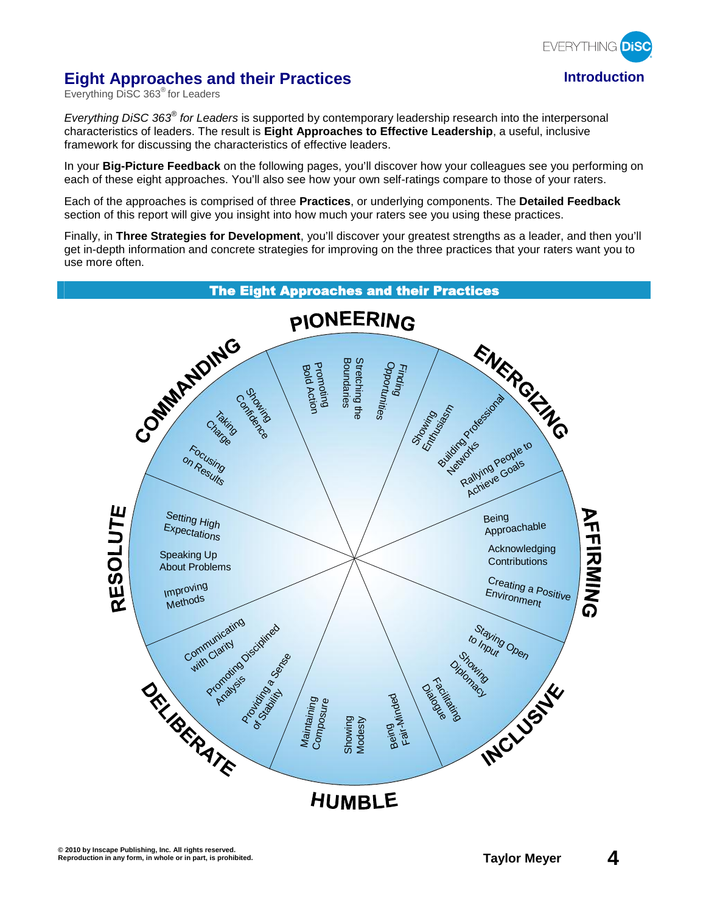

## **Eight Approaches and their Practices Introduction**

Everything DiSC 363® for Leaders

Everything DISC 363<sup>®</sup> for Leaders is supported by contemporary leadership research into the interpersonal characteristics of leaders. The result is **Eight Approaches to Effective Leadership**, a useful, inclusive framework for discussing the characteristics of effective leaders.

In your **Big-Picture Feedback** on the following pages, you'll discover how your colleagues see you performing on each of these eight approaches. You'll also see how your own self-ratings compare to those of your raters.

Each of the approaches is comprised of three **Practices**, or underlying components. The **Detailed Feedback** section of this report will give you insight into how much your raters see you using these practices.

Finally, in **Three Strategies for Development**, you'll discover your greatest strengths as a leader, and then you'll get in-depth information and concrete strategies for improving on the three practices that your raters want you to use more often.

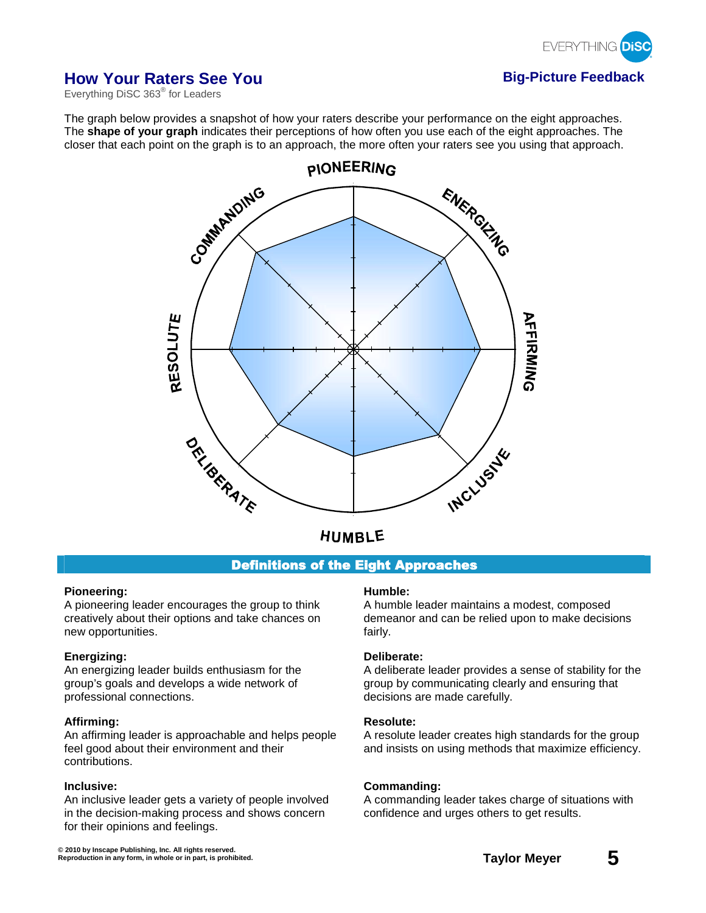

## **How Your Raters See You <b>Big-Picture Feedback**

Everything DiSC 363® for Leaders

The graph below provides a snapshot of how your raters describe your performance on the eight approaches. The **shape of your graph** indicates their perceptions of how often you use each of the eight approaches. The closer that each point on the graph is to an approach, the more often your raters see you using that approach.



## Definitions of the Eight Approaches

#### **Pioneering:**

A pioneering leader encourages the group to think creatively about their options and take chances on new opportunities.

#### **Energizing:**

An energizing leader builds enthusiasm for the group's goals and develops a wide network of professional connections.

#### **Affirming:**

An affirming leader is approachable and helps people feel good about their environment and their contributions.

#### **Inclusive:**

An inclusive leader gets a variety of people involved in the decision-making process and shows concern for their opinions and feelings.

#### **Humble:**

A humble leader maintains a modest, composed demeanor and can be relied upon to make decisions fairly.

#### **Deliberate:**

A deliberate leader provides a sense of stability for the group by communicating clearly and ensuring that decisions are made carefully.

### **Resolute:**

A resolute leader creates high standards for the group and insists on using methods that maximize efficiency.

#### **Commanding:**

A commanding leader takes charge of situations with confidence and urges others to get results.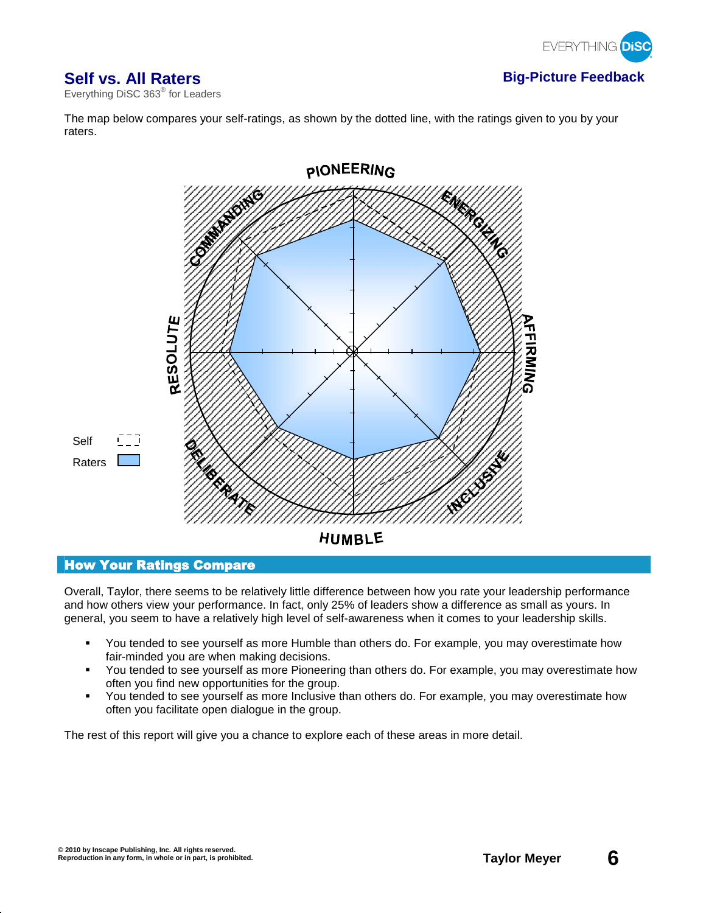

## **Self vs. All Raters Big-Picture Feedback**

Everything DiSC 363® for Leaders

The map below compares your self-ratings, as shown by the dotted line, with the ratings given to you by your raters.



## How Your Ratings Compare

Overall, Taylor, there seems to be relatively little difference between how you rate your leadership performance and how others view your performance. In fact, only 25% of leaders show a difference as small as yours. In general, you seem to have a relatively high level of self-awareness when it comes to your leadership skills.

- You tended to see yourself as more Humble than others do. For example, you may overestimate how fair-minded you are when making decisions.
- You tended to see yourself as more Pioneering than others do. For example, you may overestimate how often you find new opportunities for the group.
- You tended to see yourself as more Inclusive than others do. For example, you may overestimate how often you facilitate open dialogue in the group.

The rest of this report will give you a chance to explore each of these areas in more detail.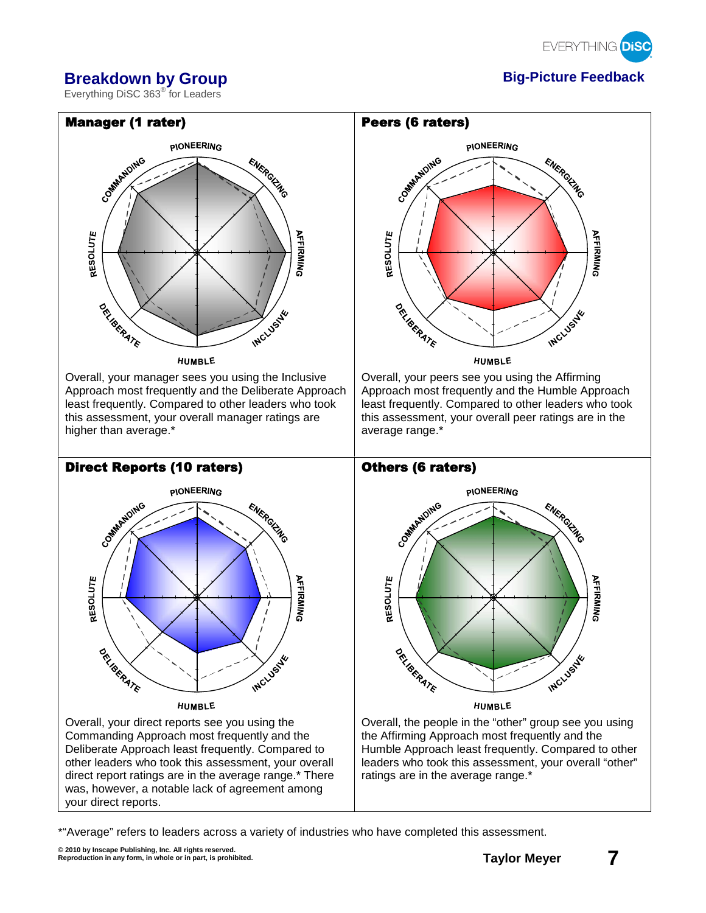

## **Breakdown by Group Big-Picture Feedback**

Everything DiSC 363® for Leaders



\*"Average" refers to leaders across a variety of industries who have completed this assessment.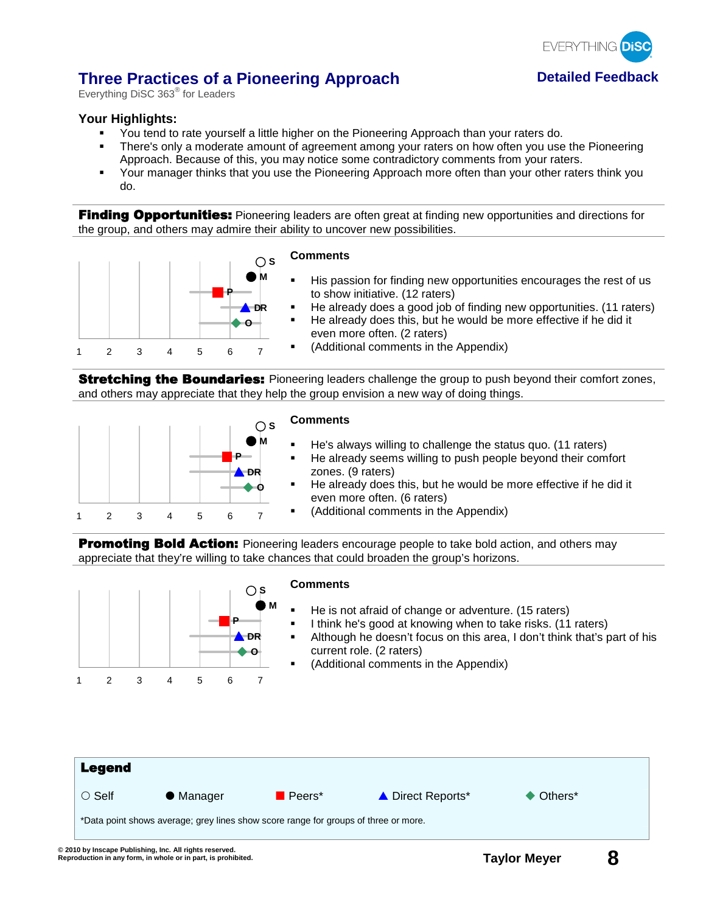

## **Three Practices of a Pioneering Approach betailed Feedback**

Everything DiSC 363<sup>®</sup> for Leaders

## **Your Highlights:**

- You tend to rate yourself a little higher on the Pioneering Approach than your raters do.
- There's only a moderate amount of agreement among your raters on how often you use the Pioneering Approach. Because of this, you may notice some contradictory comments from your raters.
- Your manager thinks that you use the Pioneering Approach more often than your other raters think you do.

**Finding Opportunities:** Pioneering leaders are often great at finding new opportunities and directions for the group, and others may admire their ability to uncover new possibilities.



**Stretching the Boundaries:** Pioneering leaders challenge the group to push beyond their comfort zones, and others may appreciate that they help the group envision a new way of doing things.



### **Comments**

- He's always willing to challenge the status quo. (11 raters)
- **He already seems willing to push people beyond their comfort** zones. (9 raters)
- He already does this, but he would be more effective if he did it even more often. (6 raters)
- (Additional comments in the Appendix)

Promoting Bold Action: Pioneering leaders encourage people to take bold action, and others may appreciate that they're willing to take chances that could broaden the group's horizons.

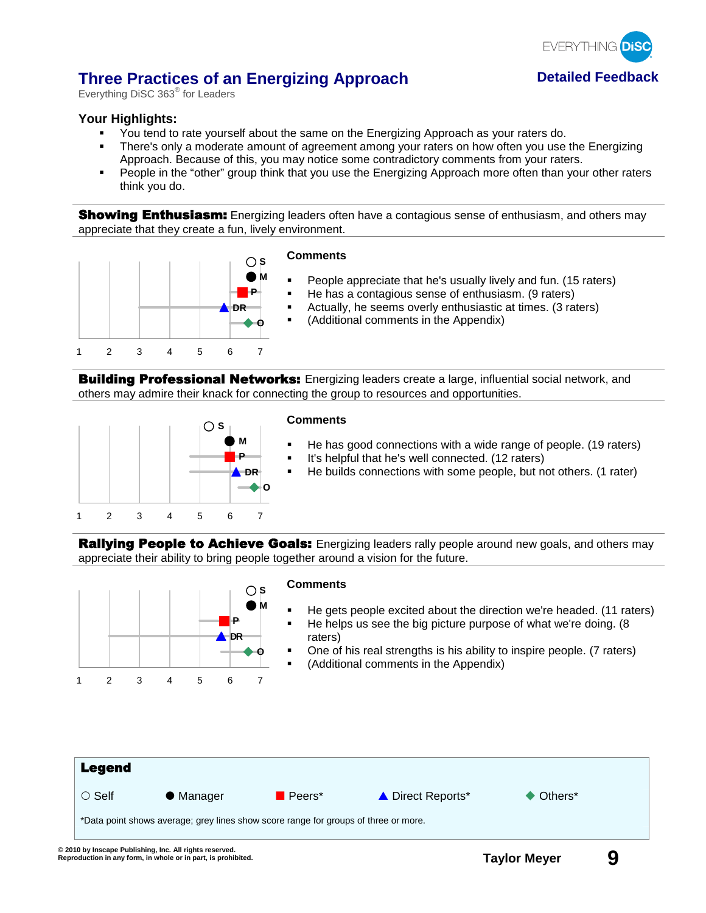

## **Three Practices of an Energizing Approach <b>Detailed Feedback**

Everything DiSC 363<sup>®</sup> for Leaders

## **Your Highlights:**

- You tend to rate yourself about the same on the Energizing Approach as your raters do.
- There's only a moderate amount of agreement among your raters on how often you use the Energizing Approach. Because of this, you may notice some contradictory comments from your raters.
- People in the "other" group think that you use the Energizing Approach more often than your other raters think you do.

**Showing Enthusiasm:** Energizing leaders often have a contagious sense of enthusiasm, and others may appreciate that they create a fun, lively environment.



### **Comments**

- People appreciate that he's usually lively and fun. (15 raters)
- He has a contagious sense of enthusiasm. (9 raters)
- Actually, he seems overly enthusiastic at times. (3 raters)
- (Additional comments in the Appendix)

**Building Professional Networks:** Energizing leaders create a large, influential social network, and others may admire their knack for connecting the group to resources and opportunities.



#### **Comments**

- He has good connections with a wide range of people. (19 raters)
- It's helpful that he's well connected. (12 raters)
- He builds connections with some people, but not others. (1 rater)

**Rallying People to Achieve Goals:** Energizing leaders rally people around new goals, and others may appreciate their ability to bring people together around a vision for the future.

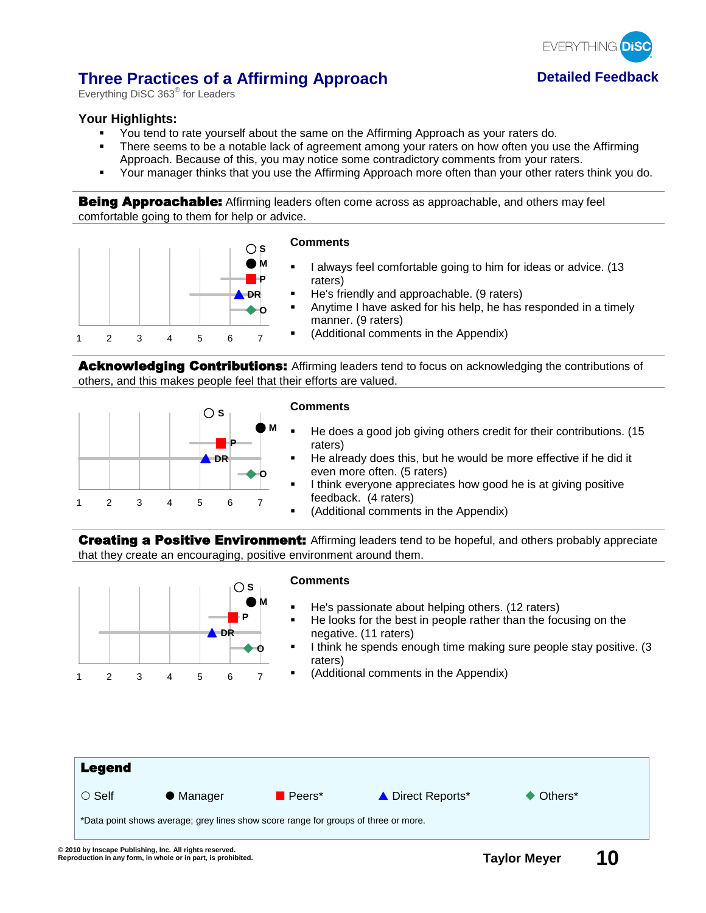

## **Three Practices of a Affirming Approach betailed Feedback**

Everything DiSC 363<sup>®</sup> for Leaders

## **Your Highlights:**

- You tend to rate yourself about the same on the Affirming Approach as your raters do.
- There seems to be a notable lack of agreement among your raters on how often you use the Affirming Approach. Because of this, you may notice some contradictory comments from your raters.
- Your manager thinks that you use the Affirming Approach more often than your other raters think you do.

**Being Approachable:** Affirming leaders often come across as approachable, and others may feel comfortable going to them for help or advice.



Acknowledging Contributions: Affirming leaders tend to focus on acknowledging the contributions of others, and this makes people feel that their efforts are valued.



#### **Comments**

- He does a good job giving others credit for their contributions. (15 raters)
- He already does this, but he would be more effective if he did it even more often. (5 raters)
- I think everyone appreciates how good he is at giving positive feedback. (4 raters)
	- (Additional comments in the Appendix)

**Creating a Positive Environment:** Affirming leaders tend to be hopeful, and others probably appreciate that they create an encouraging, positive environment around them.

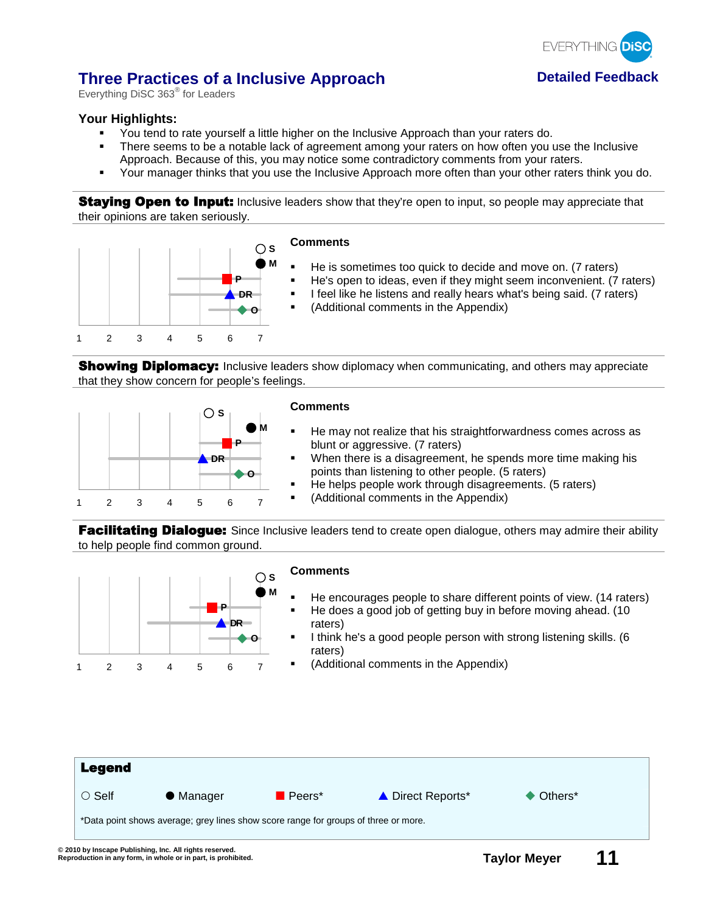

## **Three Practices of a Inclusive Approach betailed Feedback**

Everything DiSC 363<sup>®</sup> for Leaders

## **Your Highlights:**

- You tend to rate yourself a little higher on the Inclusive Approach than your raters do.
- There seems to be a notable lack of agreement among your raters on how often you use the Inclusive Approach. Because of this, you may notice some contradictory comments from your raters.
- Your manager thinks that you use the Inclusive Approach more often than your other raters think you do.

**Staying Open to Input:** Inclusive leaders show that they're open to input, so people may appreciate that their opinions are taken seriously.



- He is sometimes too quick to decide and move on. (7 raters)
- He's open to ideas, even if they might seem inconvenient. (7 raters)
- **I** feel like he listens and really hears what's being said. (7 raters)
- (Additional comments in the Appendix)

**Showing Diplomacy:** Inclusive leaders show diplomacy when communicating, and others may appreciate that they show concern for people's feelings.



#### **Comments**

- He may not realize that his straightforwardness comes across as blunt or aggressive. (7 raters)
- When there is a disagreement, he spends more time making his points than listening to other people. (5 raters)
- He helps people work through disagreements. (5 raters)
- (Additional comments in the Appendix)

Facilitating Dialogue: Since Inclusive leaders tend to create open dialogue, others may admire their ability to help people find common ground.

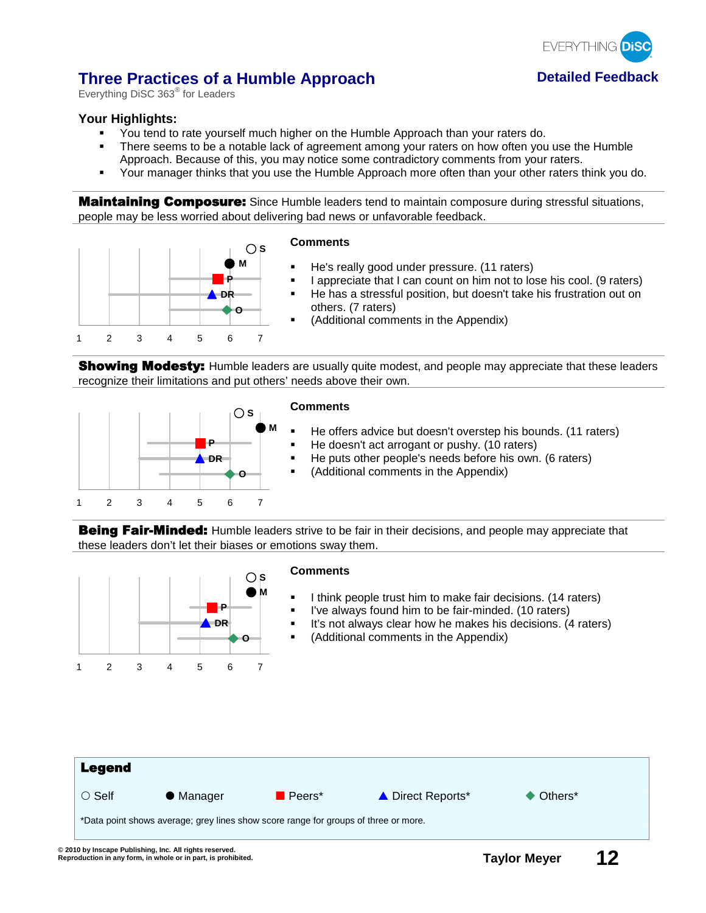

## **Three Practices of a Humble Approach <b>Detailed Feedback**

Everything DiSC 363<sup>®</sup> for Leaders

## **Your Highlights:**

- You tend to rate yourself much higher on the Humble Approach than your raters do.
- There seems to be a notable lack of agreement among your raters on how often you use the Humble Approach. Because of this, you may notice some contradictory comments from your raters.
- Your manager thinks that you use the Humble Approach more often than your other raters think you do.

**Maintaining Composure:** Since Humble leaders tend to maintain composure during stressful situations, people may be less worried about delivering bad news or unfavorable feedback.



**Showing Modesty:** Humble leaders are usually quite modest, and people may appreciate that these leaders recognize their limitations and put others' needs above their own.



### **Comments**

- He offers advice but doesn't overstep his bounds. (11 raters) He doesn't act arrogant or pushy. (10 raters)
- He puts other people's needs before his own. (6 raters)
	- (Additional comments in the Appendix)

**Being Fair-Minded:** Humble leaders strive to be fair in their decisions, and people may appreciate that these leaders don't let their biases or emotions sway them.

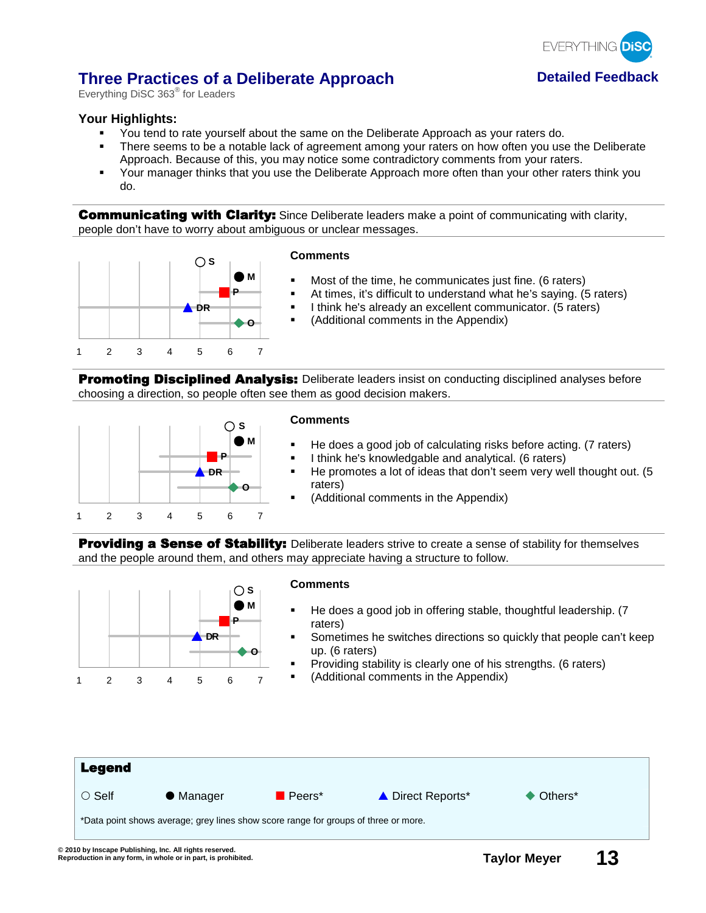

## **Three Practices of a Deliberate Approach by Detailed Feedback**

Everything DiSC 363<sup>®</sup> for Leaders

## **Your Highlights:**

- You tend to rate yourself about the same on the Deliberate Approach as your raters do.
- There seems to be a notable lack of agreement among your raters on how often you use the Deliberate Approach. Because of this, you may notice some contradictory comments from your raters.
- Your manager thinks that you use the Deliberate Approach more often than your other raters think you do.

**Communicating with Clarity:** Since Deliberate leaders make a point of communicating with clarity, people don't have to worry about ambiguous or unclear messages.



#### **Comments**

- Most of the time, he communicates just fine. (6 raters)
- At times, it's difficult to understand what he's saying. (5 raters)
- I think he's already an excellent communicator. (5 raters)
- (Additional comments in the Appendix)

**Promoting Disciplined Analysis:** Deliberate leaders insist on conducting disciplined analyses before choosing a direction, so people often see them as good decision makers.



#### **Comments**

- He does a good job of calculating risks before acting. (7 raters)
- I think he's knowledgable and analytical. (6 raters)
- He promotes a lot of ideas that don't seem very well thought out. (5 raters)
- (Additional comments in the Appendix)

**Providing a Sense of Stability:** Deliberate leaders strive to create a sense of stability for themselves and the people around them, and others may appreciate having a structure to follow.

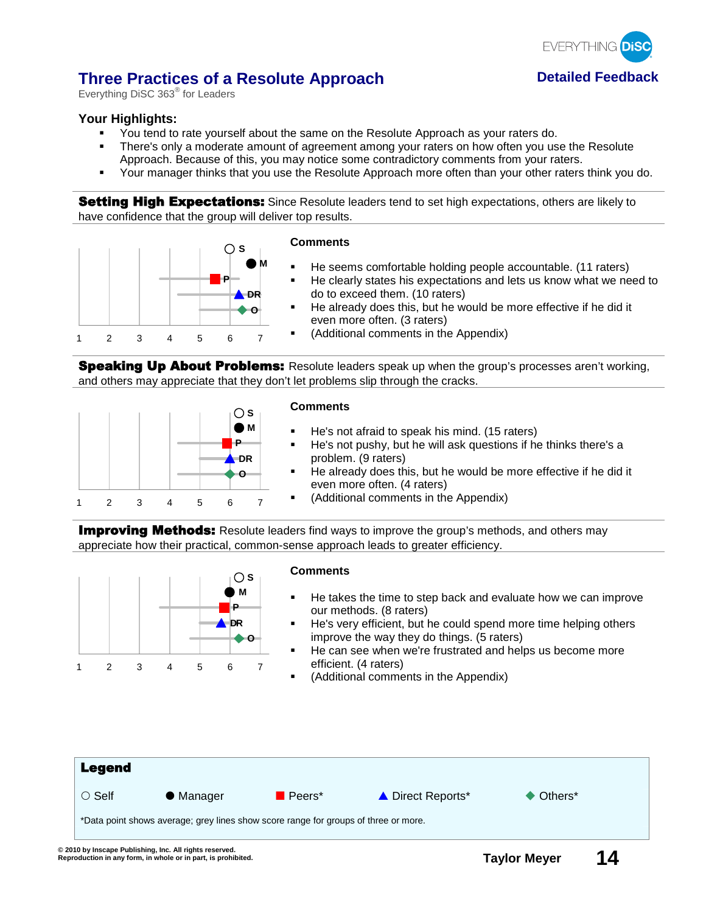

## **Three Practices of a Resolute Approach <b>Detailed Feedback**

Everything DiSC 363<sup>®</sup> for Leaders

## **Your Highlights:**

- You tend to rate yourself about the same on the Resolute Approach as your raters do.
- There's only a moderate amount of agreement among your raters on how often you use the Resolute Approach. Because of this, you may notice some contradictory comments from your raters.
- Your manager thinks that you use the Resolute Approach more often than your other raters think you do.

**Setting High Expectations:** Since Resolute leaders tend to set high expectations, others are likely to have confidence that the group will deliver top results.



Speaking Up About Problems: Resolute leaders speak up when the group's processes aren't working, and others may appreciate that they don't let problems slip through the cracks.



### **Comments**

- He's not afraid to speak his mind. (15 raters)
- He's not pushy, but he will ask questions if he thinks there's a problem. (9 raters)
- He already does this, but he would be more effective if he did it even more often. (4 raters)
- (Additional comments in the Appendix)

**Improving Methods:** Resolute leaders find ways to improve the group's methods, and others may appreciate how their practical, common-sense approach leads to greater efficiency.

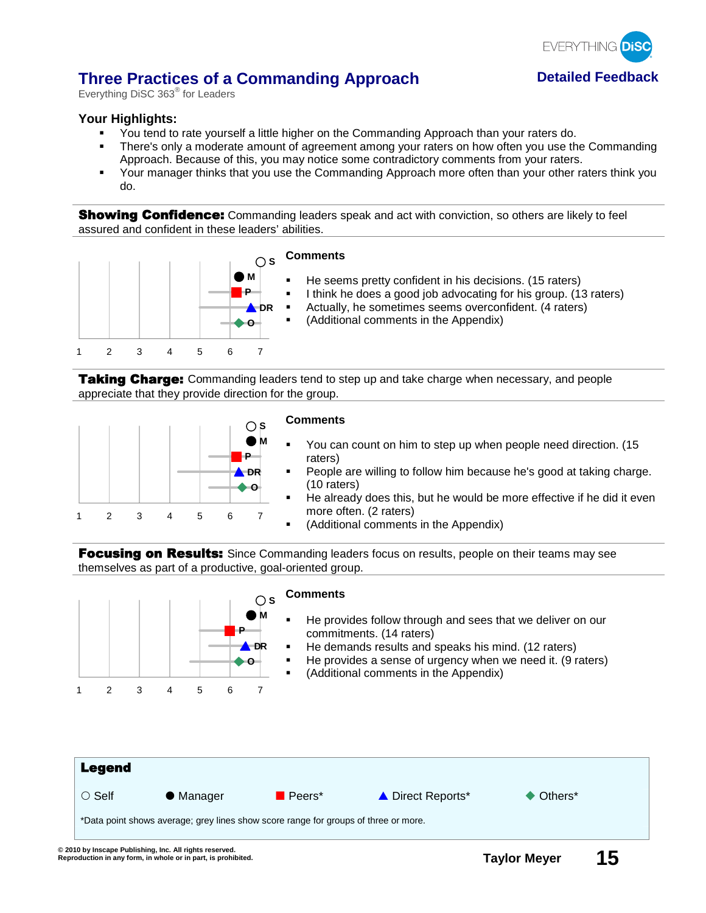

## **Three Practices of a Commanding Approach Detailed Feedback**

Everything DiSC 363<sup>®</sup> for Leaders

## **Your Highlights:**

- You tend to rate yourself a little higher on the Commanding Approach than your raters do.
- There's only a moderate amount of agreement among your raters on how often you use the Commanding Approach. Because of this, you may notice some contradictory comments from your raters.
- Your manager thinks that you use the Commanding Approach more often than your other raters think you do.

**Showing Confidence:** Commanding leaders speak and act with conviction, so others are likely to feel assured and confident in these leaders' abilities.



Taking Charge: Commanding leaders tend to step up and take charge when necessary, and people appreciate that they provide direction for the group.



#### **Comments**

- You can count on him to step up when people need direction. (15 raters)
- People are willing to follow him because he's good at taking charge. (10 raters)
- He already does this, but he would be more effective if he did it even more often. (2 raters)
- (Additional comments in the Appendix)

Focusing on Results: Since Commanding leaders focus on results, people on their teams may see themselves as part of a productive, goal-oriented group.

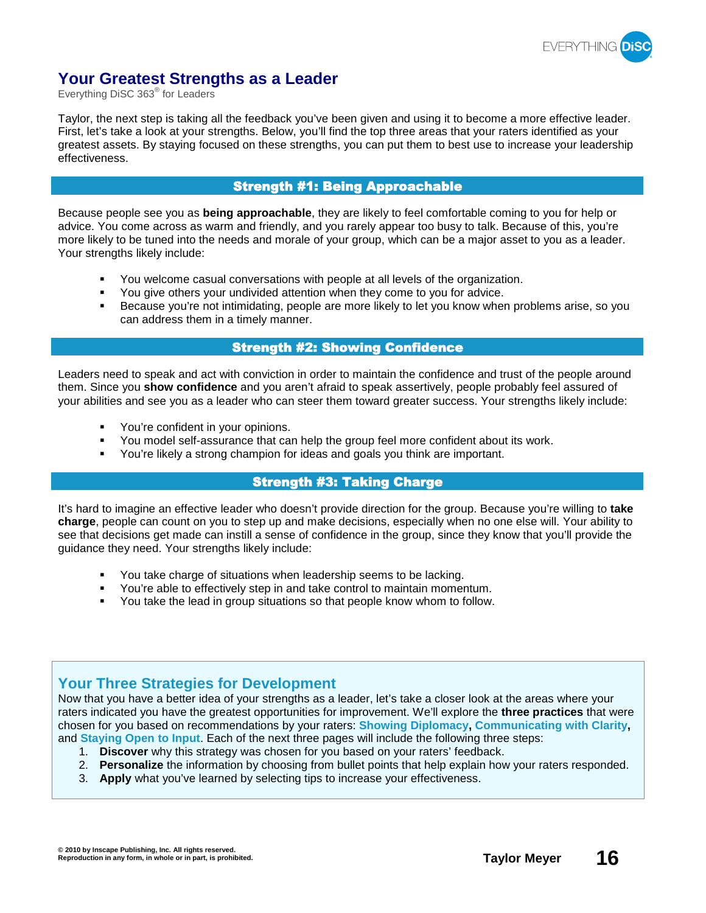

## **Your Greatest Strengths as a Leader**

Everything DiSC 363® for Leaders

Taylor, the next step is taking all the feedback you've been given and using it to become a more effective leader. First, let's take a look at your strengths. Below, you'll find the top three areas that your raters identified as your greatest assets. By staying focused on these strengths, you can put them to best use to increase your leadership effectiveness.

## Strength #1: Being Approachable

Because people see you as **being approachable**, they are likely to feel comfortable coming to you for help or advice. You come across as warm and friendly, and you rarely appear too busy to talk. Because of this, you're more likely to be tuned into the needs and morale of your group, which can be a major asset to you as a leader. Your strengths likely include:

- You welcome casual conversations with people at all levels of the organization.
- You give others your undivided attention when they come to you for advice.
- Because you're not intimidating, people are more likely to let you know when problems arise, so you can address them in a timely manner.

## Strength #2: Showing Confidence

Leaders need to speak and act with conviction in order to maintain the confidence and trust of the people around them. Since you **show confidence** and you aren't afraid to speak assertively, people probably feel assured of your abilities and see you as a leader who can steer them toward greater success. Your strengths likely include:

- You're confident in your opinions.
- You model self-assurance that can help the group feel more confident about its work.
- You're likely a strong champion for ideas and goals you think are important.

## Strength #3: Taking Charge

It's hard to imagine an effective leader who doesn't provide direction for the group. Because you're willing to **take charge**, people can count on you to step up and make decisions, especially when no one else will. Your ability to see that decisions get made can instill a sense of confidence in the group, since they know that you'll provide the guidance they need. Your strengths likely include:

- You take charge of situations when leadership seems to be lacking.
- You're able to effectively step in and take control to maintain momentum.
- You take the lead in group situations so that people know whom to follow.

## **Your Three Strategies for Development**

Now that you have a better idea of your strengths as a leader, let's take a closer look at the areas where your raters indicated you have the greatest opportunities for improvement. We'll explore the **three practices** that were chosen for you based on recommendations by your raters: **Showing Diplomacy, Communicating with Clarity,** and **Staying Open to Input**. Each of the next three pages will include the following three steps:

- 1. **Discover** why this strategy was chosen for you based on your raters' feedback.
- 2. **Personalize** the information by choosing from bullet points that help explain how your raters responded.
- 3. **Apply** what you've learned by selecting tips to increase your effectiveness.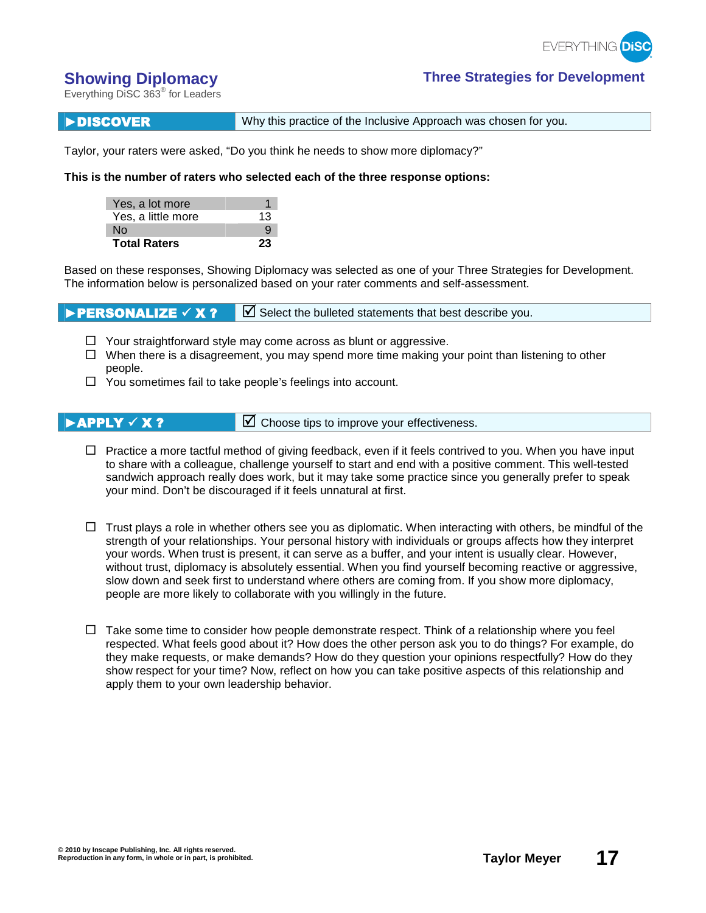

## **Showing Diplomacy Three Strategies for Development**

Everything DiSC 363® for Leaders

**DISCOVER** Why this practice of the Inclusive Approach was chosen for you.

Taylor, your raters were asked, "Do you think he needs to show more diplomacy?"

**This is the number of raters who selected each of the three response options:**

| Yes, a lot more     |    |
|---------------------|----|
| Yes, a little more  | 13 |
| N٥                  |    |
| <b>Total Raters</b> | 23 |

Based on these responses, Showing Diplomacy was selected as one of your Three Strategies for Development. The information below is personalized based on your rater comments and self-assessment.

**PERSONALIZE**  $\overline{X}$  **X ?**  $\overline{Y}$  Select the bulleted statements that best describe you.

- $\Box$  Your straightforward style may come across as blunt or aggressive.
- $\Box$  When there is a disagreement, you may spend more time making your point than listening to other people.
- $\Box$  You sometimes fail to take people's feelings into account.

**EXECUTER 18 APPLY**  $\times$  **X ?**  $\blacksquare$  Choose tips to improve your effectiveness.

- $\Box$  Practice a more tactful method of giving feedback, even if it feels contrived to you. When you have input to share with a colleague, challenge yourself to start and end with a positive comment. This well-tested sandwich approach really does work, but it may take some practice since you generally prefer to speak your mind. Don't be discouraged if it feels unnatural at first.
- $\Box$  Trust plays a role in whether others see you as diplomatic. When interacting with others, be mindful of the strength of your relationships. Your personal history with individuals or groups affects how they interpret your words. When trust is present, it can serve as a buffer, and your intent is usually clear. However, without trust, diplomacy is absolutely essential. When you find yourself becoming reactive or aggressive, slow down and seek first to understand where others are coming from. If you show more diplomacy, people are more likely to collaborate with you willingly in the future.
- $\Box$  Take some time to consider how people demonstrate respect. Think of a relationship where you feel respected. What feels good about it? How does the other person ask you to do things? For example, do they make requests, or make demands? How do they question your opinions respectfully? How do they show respect for your time? Now, reflect on how you can take positive aspects of this relationship and apply them to your own leadership behavior.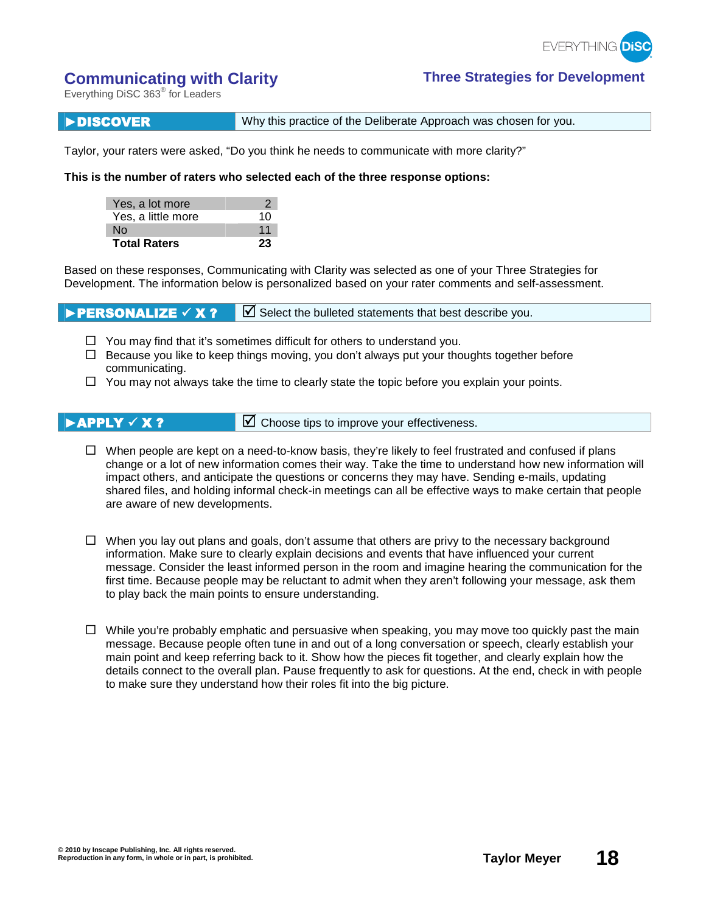

## **Communicating with Clarity Three Strategies for Development**

Everything DiSC 363® for Leaders

**DISCOVER** Why this practice of the Deliberate Approach was chosen for you.

Taylor, your raters were asked, "Do you think he needs to communicate with more clarity?"

### **This is the number of raters who selected each of the three response options:**

| Yes, a lot more     |    |
|---------------------|----|
| Yes, a little more  | 10 |
| N٥                  | 11 |
| <b>Total Raters</b> | 23 |

Based on these responses, Communicating with Clarity was selected as one of your Three Strategies for Development. The information below is personalized based on your rater comments and self-assessment.

**PERSONALIZE**  $\overline{X}$  **X ?**  $\overline{Y}$  Select the bulleted statements that best describe you.

- $\Box$  You may find that it's sometimes difficult for others to understand you.
- $\Box$  Because you like to keep things moving, you don't always put your thoughts together before communicating.
- $\Box$  You may not always take the time to clearly state the topic before you explain your points.

- **EXECUTER 18 APPLY**  $\times$  **X ?**  $\blacksquare$  Choose tips to improve your effectiveness.
	- $\Box$  When people are kept on a need-to-know basis, they're likely to feel frustrated and confused if plans change or a lot of new information comes their way. Take the time to understand how new information will impact others, and anticipate the questions or concerns they may have. Sending e-mails, updating shared files, and holding informal check-in meetings can all be effective ways to make certain that people are aware of new developments.
	- $\Box$  When you lay out plans and goals, don't assume that others are privy to the necessary background information. Make sure to clearly explain decisions and events that have influenced your current message. Consider the least informed person in the room and imagine hearing the communication for the first time. Because people may be reluctant to admit when they aren't following your message, ask them to play back the main points to ensure understanding.
	- $\Box$  While you're probably emphatic and persuasive when speaking, you may move too quickly past the main message. Because people often tune in and out of a long conversation or speech, clearly establish your main point and keep referring back to it. Show how the pieces fit together, and clearly explain how the details connect to the overall plan. Pause frequently to ask for questions. At the end, check in with people to make sure they understand how their roles fit into the big picture.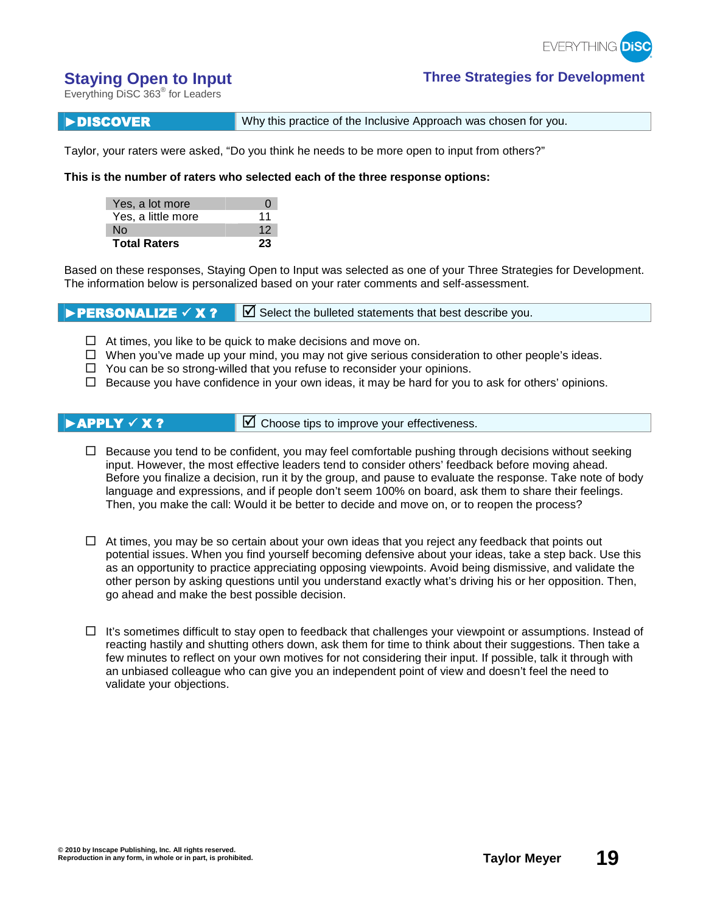

## **Staying Open to Input Three Strategies for Development**

Everything DiSC 363® for Leaders

**DISCOVER** Why this practice of the Inclusive Approach was chosen for you.

Taylor, your raters were asked, "Do you think he needs to be more open to input from others?"

**This is the number of raters who selected each of the three response options:**

| Yes, a lot more     | $\mathbf{I}$ |
|---------------------|--------------|
| Yes, a little more  | 11           |
| N٥                  | 12           |
| <b>Total Raters</b> | 23           |

Based on these responses, Staying Open to Input was selected as one of your Three Strategies for Development. The information below is personalized based on your rater comments and self-assessment.

**PERSONALIZE**  $\checkmark$  **X ?**  $\Box$  Select the bulleted statements that best describe you.

- $\Box$  At times, you like to be quick to make decisions and move on.
- $\Box$  When you've made up your mind, you may not give serious consideration to other people's ideas.
- $\Box$  You can be so strong-willed that you refuse to reconsider your opinions.
- $\Box$  Because you have confidence in your own ideas, it may be hard for you to ask for others' opinions.

**EXECUTER 18 APPLY**  $\times$  **X ?**  $\blacksquare$  Choose tips to improve your effectiveness.

- $\Box$  Because you tend to be confident, you may feel comfortable pushing through decisions without seeking input. However, the most effective leaders tend to consider others' feedback before moving ahead. Before you finalize a decision, run it by the group, and pause to evaluate the response. Take note of body language and expressions, and if people don't seem 100% on board, ask them to share their feelings. Then, you make the call: Would it be better to decide and move on, or to reopen the process?
- $\Box$  At times, you may be so certain about your own ideas that you reject any feedback that points out potential issues. When you find yourself becoming defensive about your ideas, take a step back. Use this as an opportunity to practice appreciating opposing viewpoints. Avoid being dismissive, and validate the other person by asking questions until you understand exactly what's driving his or her opposition. Then, go ahead and make the best possible decision.
- $\Box$  It's sometimes difficult to stay open to feedback that challenges your viewpoint or assumptions. Instead of reacting hastily and shutting others down, ask them for time to think about their suggestions. Then take a few minutes to reflect on your own motives for not considering their input. If possible, talk it through with an unbiased colleague who can give you an independent point of view and doesn't feel the need to validate your objections.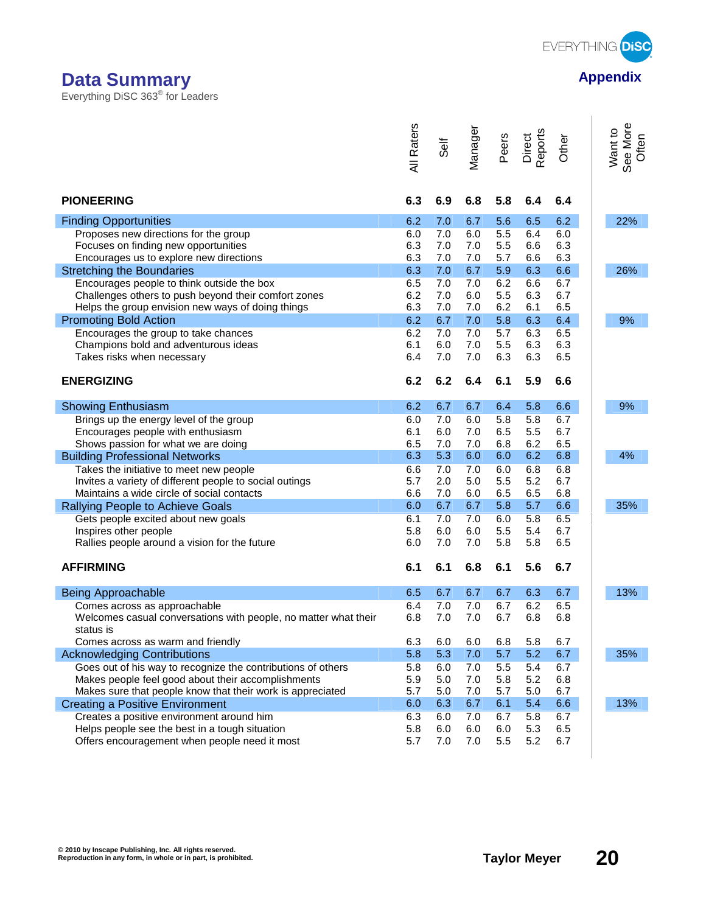

ľ

ľ

Everything DiSC 363® for Leaders

|                                                                                     | <b>All Raters</b> | Self       | Manager    | Peers      | Direct<br>Reports | Other      | Want to<br>See More<br>Often |
|-------------------------------------------------------------------------------------|-------------------|------------|------------|------------|-------------------|------------|------------------------------|
| <b>PIONEERING</b>                                                                   | 6.3               | 6.9        | 6.8        | 5.8        | 6.4               | 6.4        |                              |
| <b>Finding Opportunities</b>                                                        | 6.2               | 7.0        | 6.7        | 5.6        | 6.5               | 6.2        | 22%                          |
| Proposes new directions for the group                                               | 6.0               | 7.0        | 6.0        | 5.5        | 6.4               | 6.0        |                              |
| Focuses on finding new opportunities                                                | 6.3               | 7.0        | 7.0        | 5.5        | 6.6               | 6.3        |                              |
| Encourages us to explore new directions                                             | 6.3               | 7.0        | 7.0        | 5.7        | 6.6               | 6.3        |                              |
| <b>Stretching the Boundaries</b>                                                    | 6.3               | 7.0        | 6.7        | 5.9        | 6.3               | 6.6        | 26%                          |
| Encourages people to think outside the box                                          | 6.5               | 7.0        | 7.0        | 6.2        | 6.6               | 6.7        |                              |
| Challenges others to push beyond their comfort zones                                | 6.2<br>6.3        | 7.0<br>7.0 | 6.0<br>7.0 | 5.5<br>6.2 | 6.3<br>6.1        | 6.7<br>6.5 |                              |
| Helps the group envision new ways of doing things<br><b>Promoting Bold Action</b>   | 6.2               | 6.7        | 7.0        | 5.8        | 6.3               | 6.4        | 9%                           |
| Encourages the group to take chances                                                | 6.2               | 7.0        | 7.0        | 5.7        | 6.3               | 6.5        |                              |
| Champions bold and adventurous ideas                                                | 6.1               | 6.0        | 7.0        | 5.5        | 6.3               | 6.3        |                              |
| Takes risks when necessary                                                          | 6.4               | 7.0        | 7.0        | 6.3        | 6.3               | 6.5        |                              |
| <b>ENERGIZING</b>                                                                   | 6.2               | 6.2        | 6.4        | 6.1        | 5.9               | 6.6        |                              |
|                                                                                     |                   |            |            |            |                   |            |                              |
| <b>Showing Enthusiasm</b>                                                           | 6.2               | 6.7        | 6.7        | 6.4        | 5.8               | 6.6        | 9%                           |
| Brings up the energy level of the group                                             | 6.0               | 7.0        | 6.0        | 5.8        | 5.8               | 6.7        |                              |
| Encourages people with enthusiasm                                                   | 6.1               | 6.0        | 7.0        | 6.5        | 5.5               | 6.7        |                              |
| Shows passion for what we are doing                                                 | 6.5               | 7.0        | 7.0        | 6.8        | 6.2               | 6.5        |                              |
| <b>Building Professional Networks</b>                                               | 6.3               | 5.3        | 6.0        | 6.0        | 6.2               | 6.8        | 4%                           |
| Takes the initiative to meet new people                                             | 6.6               | 7.0        | 7.0        | 6.0        | 6.8               | 6.8        |                              |
| Invites a variety of different people to social outings                             | 5.7               | 2.0        | 5.0        | 5.5        | 5.2               | 6.7        |                              |
| Maintains a wide circle of social contacts                                          | 6.6<br>6.0        | 7.0<br>6.7 | 6.0<br>6.7 | 6.5<br>5.8 | 6.5<br>5.7        | 6.8        | 35%                          |
| Rallying People to Achieve Goals<br>Gets people excited about new goals             | 6.1               | 7.0        | 7.0        | 6.0        | 5.8               | 6.6<br>6.5 |                              |
| Inspires other people                                                               | 5.8               | 6.0        | 6.0        | 5.5        | 5.4               | 6.7        |                              |
| Rallies people around a vision for the future                                       | 6.0               | 7.0        | 7.0        | 5.8        | 5.8               | 6.5        |                              |
|                                                                                     |                   |            |            |            |                   |            |                              |
| <b>AFFIRMING</b>                                                                    | 6.1               | 6.1        | 6.8        | 6.1        | 5.6               | 6.7        |                              |
| <b>Being Approachable</b>                                                           | 6.5               | 6.7        | 6.7        | 6.7        | 6.3               | 6.7        | 13%                          |
| Comes across as approachable                                                        | 6.4               | 7.0        | 7.0        | 6.7        | 6.2               | 6.5        |                              |
| Welcomes casual conversations with people, no matter what their                     | 6.8               | 7.0        | 7.0        | 6.7        | 6.8               | 6.8        |                              |
| status is                                                                           |                   |            |            |            |                   |            |                              |
| Comes across as warm and friendly                                                   | 6.3               | 6.0        | 6.0        | 6.8        | 5.8               | 6.7        |                              |
| <b>Acknowledging Contributions</b>                                                  | 5.8               | 5.3        | 7.0        | 5.7        | 5.2               | 6.7        | 35%                          |
| Goes out of his way to recognize the contributions of others                        | 5.8               | 6.0        | 7.0        | 5.5        | 5.4               | 6.7        |                              |
| Makes people feel good about their accomplishments                                  | 5.9               | 5.0        | 7.0        | 5.8        | 5.2               | 6.8        |                              |
| Makes sure that people know that their work is appreciated                          | 5.7               | 5.0        | 7.0        | 5.7        | $5.0\,$           | 6.7        |                              |
| <b>Creating a Positive Environment</b><br>Creates a positive environment around him | 6.0               | 6.3        | 6.7        | 6.1        | 5.4               | 6.6        | 13%                          |
| Helps people see the best in a tough situation                                      | 6.3<br>5.8        | 6.0<br>6.0 | 7.0<br>6.0 | 6.7<br>6.0 | 5.8<br>5.3        | 6.7<br>6.5 |                              |
| Offers encouragement when people need it most                                       | 5.7               | 7.0        | 7.0        | 5.5        | 5.2               | 6.7        |                              |

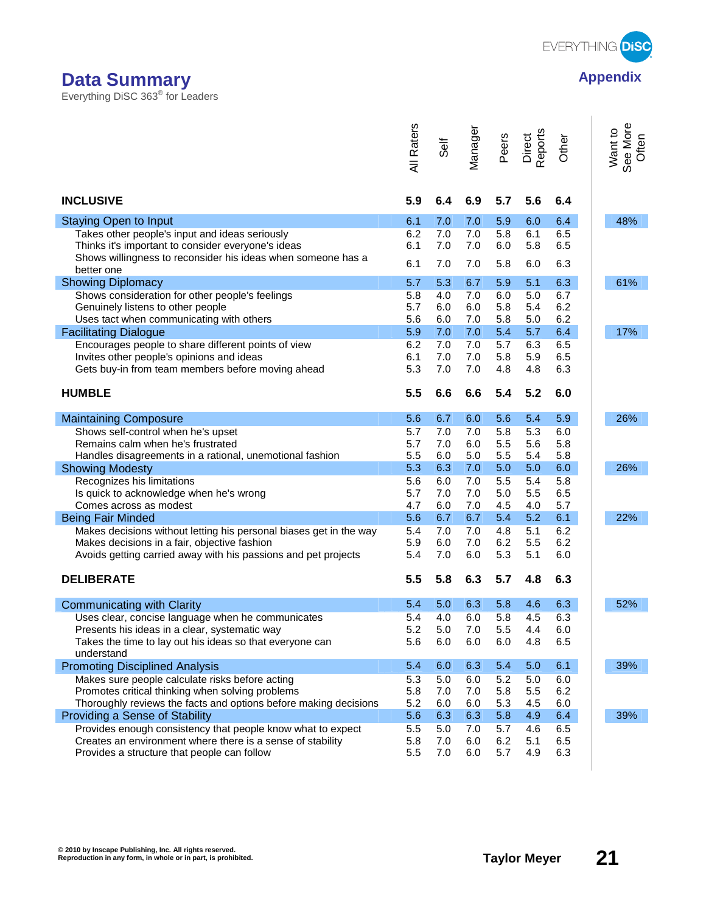

## **Data Summary Appendix Appendix Appendix**

Everything DiSC 363® for Leaders

| 5.9<br>5.6<br><b>INCLUSIVE</b><br>6.4<br>6.9<br>5.7<br>6.4<br><b>Staying Open to Input</b><br>7.0<br>5.9<br>6.0<br>6.4<br>48%<br>6.1<br>7.0<br>6.2<br>7.0<br>6.1<br>6.5<br>Takes other people's input and ideas seriously<br>7.0<br>5.8<br>5.8<br>Thinks it's important to consider everyone's ideas<br>6.1<br>7.0<br>7.0<br>6.0<br>6.5<br>Shows willingness to reconsider his ideas when someone has a<br>6.1<br>7.0<br>5.8<br>6.0<br>6.3<br>7.0<br>better one<br><b>Showing Diplomacy</b><br>5.3<br>6.7<br>5.9<br>5.1<br>6.3<br>61%<br>5.7<br>5.0<br>Shows consideration for other people's feelings<br>5.8<br>4.0<br>7.0<br>6.0<br>6.7<br>6.2<br>Genuinely listens to other people<br>5.7<br>6.0<br>6.0<br>5.8<br>5.4<br>6.0<br>7.0<br>5.8<br>5.0<br>6.2<br>Uses tact when communicating with others<br>5.6<br>6.4<br>17%<br>5.9<br>7.0<br>7.0<br>5.4<br>5.7<br><b>Facilitating Dialogue</b><br>6.2<br>7.0<br>6.5<br>Encourages people to share different points of view<br>7.0<br>5.7<br>6.3<br>6.1<br>7.0<br>7.0<br>5.8<br>5.9<br>6.5<br>Invites other people's opinions and ideas<br>7.0<br>6.3<br>Gets buy-in from team members before moving ahead<br>5.3<br>7.0<br>4.8<br>4.8<br><b>HUMBLE</b><br>5.5<br>6.6<br>6.6<br>5.4<br>5.2<br>6.0<br>5.6<br>6.7<br>5.9<br>26%<br>6.0<br>5.6<br>5.4<br><b>Maintaining Composure</b><br>Shows self-control when he's upset<br>7.0<br>5.8<br>5.7<br>7.0<br>5.3<br>6.0<br>Remains calm when he's frustrated<br>7.0<br>6.0<br>5.5<br>5.6<br>5.8<br>5.7<br>5.5<br>6.0<br>5.0<br>5.5<br>5.4<br>5.8<br>Handles disagreements in a rational, unemotional fashion<br>26%<br>5.3<br>6.3<br>7.0<br>5.0<br>5.0<br>6.0<br><b>Showing Modesty</b><br>5.5<br>5.8<br>Recognizes his limitations<br>5.6<br>6.0<br>7.0<br>5.4<br>Is quick to acknowledge when he's wrong<br>5.7<br>7.0<br>7.0<br>5.0<br>5.5<br>6.5<br>6.0<br>7.0<br>4.5<br>4.0<br>5.7<br>Comes across as modest<br>4.7<br>6.7<br>6.7<br>5.4<br>5.2<br>6.1<br>22%<br>5.6<br><b>Being Fair Minded</b><br>7.0<br>7.0<br>5.1<br>6.2<br>5.4<br>4.8<br>Makes decisions without letting his personal biases get in the way<br>5.9<br>6.0<br>7.0<br>6.2<br>5.5<br>6.2<br>Makes decisions in a fair, objective fashion<br>7.0<br>6.0<br>5.3<br>5.1<br>6.0<br>Avoids getting carried away with his passions and pet projects<br>5.4<br><b>DELIBERATE</b><br>5.5<br>5.8<br>6.3<br>5.7<br>4.8<br>6.3<br>6.3<br>52%<br>5.4<br>5.0<br>6.3<br>5.8<br><b>Communicating with Clarity</b><br>4.6<br>5.8<br>4.5<br>5.4<br>4.0<br>6.0<br>6.3<br>Uses clear, concise language when he communicates<br>Presents his ideas in a clear, systematic way<br>5.2<br>5.0<br>7.0<br>5.5<br>4.4<br>6.0<br>4.8<br>6.5<br>Takes the time to lay out his ideas so that everyone can<br>5.6<br>6.0<br>6.0<br>6.0<br>understand<br>6.1<br>39%<br>5.4<br>6.0<br>6.3<br>5.4<br>5.0<br><b>Promoting Disciplined Analysis</b><br>Makes sure people calculate risks before acting<br>5.0<br>6.0<br>5.2<br>5.0<br>6.0<br>5.3<br>Promotes critical thinking when solving problems<br>7.0<br>5.8<br>6.2<br>5.8<br>7.0<br>5.5<br>6.0<br>6.0<br>5.3<br>4.5<br>Thoroughly reviews the facts and options before making decisions<br>5.2<br>6.0<br>39%<br>5.6<br>6.3<br>6.3<br>5.8<br>4.9<br>6.4<br>Providing a Sense of Stability<br>Provides enough consistency that people know what to expect<br>5.0<br>7.0<br>5.7<br>5.5<br>4.6<br>6.5<br>Creates an environment where there is a sense of stability<br>7.0<br>6.0<br>6.2<br>5.1<br>6.5<br>5.8<br>Provides a structure that people can follow<br>4.9<br>5.5<br>7.0<br>6.0<br>5.7<br>6.3 | All Raters | Self | Manager | Peers | Direct<br>Reports | Other | See More<br>Often<br>Want to |
|-------------------------------------------------------------------------------------------------------------------------------------------------------------------------------------------------------------------------------------------------------------------------------------------------------------------------------------------------------------------------------------------------------------------------------------------------------------------------------------------------------------------------------------------------------------------------------------------------------------------------------------------------------------------------------------------------------------------------------------------------------------------------------------------------------------------------------------------------------------------------------------------------------------------------------------------------------------------------------------------------------------------------------------------------------------------------------------------------------------------------------------------------------------------------------------------------------------------------------------------------------------------------------------------------------------------------------------------------------------------------------------------------------------------------------------------------------------------------------------------------------------------------------------------------------------------------------------------------------------------------------------------------------------------------------------------------------------------------------------------------------------------------------------------------------------------------------------------------------------------------------------------------------------------------------------------------------------------------------------------------------------------------------------------------------------------------------------------------------------------------------------------------------------------------------------------------------------------------------------------------------------------------------------------------------------------------------------------------------------------------------------------------------------------------------------------------------------------------------------------------------------------------------------------------------------------------------------------------------------------------------------------------------------------------------------------------------------------------------------------------------------------------------------------------------------------------------------------------------------------------------------------------------------------------------------------------------------------------------------------------------------------------------------------------------------------------------------------------------------------------------------------------------------------------------------------------------------------------------------------------------------------------------------------------------------------------------------------------------------------------------------------------------------------------------------------------------------------------------------------------------------------------------------------------------------------------------------------|------------|------|---------|-------|-------------------|-------|------------------------------|
|                                                                                                                                                                                                                                                                                                                                                                                                                                                                                                                                                                                                                                                                                                                                                                                                                                                                                                                                                                                                                                                                                                                                                                                                                                                                                                                                                                                                                                                                                                                                                                                                                                                                                                                                                                                                                                                                                                                                                                                                                                                                                                                                                                                                                                                                                                                                                                                                                                                                                                                                                                                                                                                                                                                                                                                                                                                                                                                                                                                                                                                                                                                                                                                                                                                                                                                                                                                                                                                                                                                                                                                           |            |      |         |       |                   |       |                              |
|                                                                                                                                                                                                                                                                                                                                                                                                                                                                                                                                                                                                                                                                                                                                                                                                                                                                                                                                                                                                                                                                                                                                                                                                                                                                                                                                                                                                                                                                                                                                                                                                                                                                                                                                                                                                                                                                                                                                                                                                                                                                                                                                                                                                                                                                                                                                                                                                                                                                                                                                                                                                                                                                                                                                                                                                                                                                                                                                                                                                                                                                                                                                                                                                                                                                                                                                                                                                                                                                                                                                                                                           |            |      |         |       |                   |       |                              |
|                                                                                                                                                                                                                                                                                                                                                                                                                                                                                                                                                                                                                                                                                                                                                                                                                                                                                                                                                                                                                                                                                                                                                                                                                                                                                                                                                                                                                                                                                                                                                                                                                                                                                                                                                                                                                                                                                                                                                                                                                                                                                                                                                                                                                                                                                                                                                                                                                                                                                                                                                                                                                                                                                                                                                                                                                                                                                                                                                                                                                                                                                                                                                                                                                                                                                                                                                                                                                                                                                                                                                                                           |            |      |         |       |                   |       |                              |
|                                                                                                                                                                                                                                                                                                                                                                                                                                                                                                                                                                                                                                                                                                                                                                                                                                                                                                                                                                                                                                                                                                                                                                                                                                                                                                                                                                                                                                                                                                                                                                                                                                                                                                                                                                                                                                                                                                                                                                                                                                                                                                                                                                                                                                                                                                                                                                                                                                                                                                                                                                                                                                                                                                                                                                                                                                                                                                                                                                                                                                                                                                                                                                                                                                                                                                                                                                                                                                                                                                                                                                                           |            |      |         |       |                   |       |                              |
|                                                                                                                                                                                                                                                                                                                                                                                                                                                                                                                                                                                                                                                                                                                                                                                                                                                                                                                                                                                                                                                                                                                                                                                                                                                                                                                                                                                                                                                                                                                                                                                                                                                                                                                                                                                                                                                                                                                                                                                                                                                                                                                                                                                                                                                                                                                                                                                                                                                                                                                                                                                                                                                                                                                                                                                                                                                                                                                                                                                                                                                                                                                                                                                                                                                                                                                                                                                                                                                                                                                                                                                           |            |      |         |       |                   |       |                              |
|                                                                                                                                                                                                                                                                                                                                                                                                                                                                                                                                                                                                                                                                                                                                                                                                                                                                                                                                                                                                                                                                                                                                                                                                                                                                                                                                                                                                                                                                                                                                                                                                                                                                                                                                                                                                                                                                                                                                                                                                                                                                                                                                                                                                                                                                                                                                                                                                                                                                                                                                                                                                                                                                                                                                                                                                                                                                                                                                                                                                                                                                                                                                                                                                                                                                                                                                                                                                                                                                                                                                                                                           |            |      |         |       |                   |       |                              |
|                                                                                                                                                                                                                                                                                                                                                                                                                                                                                                                                                                                                                                                                                                                                                                                                                                                                                                                                                                                                                                                                                                                                                                                                                                                                                                                                                                                                                                                                                                                                                                                                                                                                                                                                                                                                                                                                                                                                                                                                                                                                                                                                                                                                                                                                                                                                                                                                                                                                                                                                                                                                                                                                                                                                                                                                                                                                                                                                                                                                                                                                                                                                                                                                                                                                                                                                                                                                                                                                                                                                                                                           |            |      |         |       |                   |       |                              |
|                                                                                                                                                                                                                                                                                                                                                                                                                                                                                                                                                                                                                                                                                                                                                                                                                                                                                                                                                                                                                                                                                                                                                                                                                                                                                                                                                                                                                                                                                                                                                                                                                                                                                                                                                                                                                                                                                                                                                                                                                                                                                                                                                                                                                                                                                                                                                                                                                                                                                                                                                                                                                                                                                                                                                                                                                                                                                                                                                                                                                                                                                                                                                                                                                                                                                                                                                                                                                                                                                                                                                                                           |            |      |         |       |                   |       |                              |
|                                                                                                                                                                                                                                                                                                                                                                                                                                                                                                                                                                                                                                                                                                                                                                                                                                                                                                                                                                                                                                                                                                                                                                                                                                                                                                                                                                                                                                                                                                                                                                                                                                                                                                                                                                                                                                                                                                                                                                                                                                                                                                                                                                                                                                                                                                                                                                                                                                                                                                                                                                                                                                                                                                                                                                                                                                                                                                                                                                                                                                                                                                                                                                                                                                                                                                                                                                                                                                                                                                                                                                                           |            |      |         |       |                   |       |                              |
|                                                                                                                                                                                                                                                                                                                                                                                                                                                                                                                                                                                                                                                                                                                                                                                                                                                                                                                                                                                                                                                                                                                                                                                                                                                                                                                                                                                                                                                                                                                                                                                                                                                                                                                                                                                                                                                                                                                                                                                                                                                                                                                                                                                                                                                                                                                                                                                                                                                                                                                                                                                                                                                                                                                                                                                                                                                                                                                                                                                                                                                                                                                                                                                                                                                                                                                                                                                                                                                                                                                                                                                           |            |      |         |       |                   |       |                              |
|                                                                                                                                                                                                                                                                                                                                                                                                                                                                                                                                                                                                                                                                                                                                                                                                                                                                                                                                                                                                                                                                                                                                                                                                                                                                                                                                                                                                                                                                                                                                                                                                                                                                                                                                                                                                                                                                                                                                                                                                                                                                                                                                                                                                                                                                                                                                                                                                                                                                                                                                                                                                                                                                                                                                                                                                                                                                                                                                                                                                                                                                                                                                                                                                                                                                                                                                                                                                                                                                                                                                                                                           |            |      |         |       |                   |       |                              |
|                                                                                                                                                                                                                                                                                                                                                                                                                                                                                                                                                                                                                                                                                                                                                                                                                                                                                                                                                                                                                                                                                                                                                                                                                                                                                                                                                                                                                                                                                                                                                                                                                                                                                                                                                                                                                                                                                                                                                                                                                                                                                                                                                                                                                                                                                                                                                                                                                                                                                                                                                                                                                                                                                                                                                                                                                                                                                                                                                                                                                                                                                                                                                                                                                                                                                                                                                                                                                                                                                                                                                                                           |            |      |         |       |                   |       |                              |
|                                                                                                                                                                                                                                                                                                                                                                                                                                                                                                                                                                                                                                                                                                                                                                                                                                                                                                                                                                                                                                                                                                                                                                                                                                                                                                                                                                                                                                                                                                                                                                                                                                                                                                                                                                                                                                                                                                                                                                                                                                                                                                                                                                                                                                                                                                                                                                                                                                                                                                                                                                                                                                                                                                                                                                                                                                                                                                                                                                                                                                                                                                                                                                                                                                                                                                                                                                                                                                                                                                                                                                                           |            |      |         |       |                   |       |                              |
|                                                                                                                                                                                                                                                                                                                                                                                                                                                                                                                                                                                                                                                                                                                                                                                                                                                                                                                                                                                                                                                                                                                                                                                                                                                                                                                                                                                                                                                                                                                                                                                                                                                                                                                                                                                                                                                                                                                                                                                                                                                                                                                                                                                                                                                                                                                                                                                                                                                                                                                                                                                                                                                                                                                                                                                                                                                                                                                                                                                                                                                                                                                                                                                                                                                                                                                                                                                                                                                                                                                                                                                           |            |      |         |       |                   |       |                              |
|                                                                                                                                                                                                                                                                                                                                                                                                                                                                                                                                                                                                                                                                                                                                                                                                                                                                                                                                                                                                                                                                                                                                                                                                                                                                                                                                                                                                                                                                                                                                                                                                                                                                                                                                                                                                                                                                                                                                                                                                                                                                                                                                                                                                                                                                                                                                                                                                                                                                                                                                                                                                                                                                                                                                                                                                                                                                                                                                                                                                                                                                                                                                                                                                                                                                                                                                                                                                                                                                                                                                                                                           |            |      |         |       |                   |       |                              |
|                                                                                                                                                                                                                                                                                                                                                                                                                                                                                                                                                                                                                                                                                                                                                                                                                                                                                                                                                                                                                                                                                                                                                                                                                                                                                                                                                                                                                                                                                                                                                                                                                                                                                                                                                                                                                                                                                                                                                                                                                                                                                                                                                                                                                                                                                                                                                                                                                                                                                                                                                                                                                                                                                                                                                                                                                                                                                                                                                                                                                                                                                                                                                                                                                                                                                                                                                                                                                                                                                                                                                                                           |            |      |         |       |                   |       |                              |
|                                                                                                                                                                                                                                                                                                                                                                                                                                                                                                                                                                                                                                                                                                                                                                                                                                                                                                                                                                                                                                                                                                                                                                                                                                                                                                                                                                                                                                                                                                                                                                                                                                                                                                                                                                                                                                                                                                                                                                                                                                                                                                                                                                                                                                                                                                                                                                                                                                                                                                                                                                                                                                                                                                                                                                                                                                                                                                                                                                                                                                                                                                                                                                                                                                                                                                                                                                                                                                                                                                                                                                                           |            |      |         |       |                   |       |                              |
|                                                                                                                                                                                                                                                                                                                                                                                                                                                                                                                                                                                                                                                                                                                                                                                                                                                                                                                                                                                                                                                                                                                                                                                                                                                                                                                                                                                                                                                                                                                                                                                                                                                                                                                                                                                                                                                                                                                                                                                                                                                                                                                                                                                                                                                                                                                                                                                                                                                                                                                                                                                                                                                                                                                                                                                                                                                                                                                                                                                                                                                                                                                                                                                                                                                                                                                                                                                                                                                                                                                                                                                           |            |      |         |       |                   |       |                              |
|                                                                                                                                                                                                                                                                                                                                                                                                                                                                                                                                                                                                                                                                                                                                                                                                                                                                                                                                                                                                                                                                                                                                                                                                                                                                                                                                                                                                                                                                                                                                                                                                                                                                                                                                                                                                                                                                                                                                                                                                                                                                                                                                                                                                                                                                                                                                                                                                                                                                                                                                                                                                                                                                                                                                                                                                                                                                                                                                                                                                                                                                                                                                                                                                                                                                                                                                                                                                                                                                                                                                                                                           |            |      |         |       |                   |       |                              |
|                                                                                                                                                                                                                                                                                                                                                                                                                                                                                                                                                                                                                                                                                                                                                                                                                                                                                                                                                                                                                                                                                                                                                                                                                                                                                                                                                                                                                                                                                                                                                                                                                                                                                                                                                                                                                                                                                                                                                                                                                                                                                                                                                                                                                                                                                                                                                                                                                                                                                                                                                                                                                                                                                                                                                                                                                                                                                                                                                                                                                                                                                                                                                                                                                                                                                                                                                                                                                                                                                                                                                                                           |            |      |         |       |                   |       |                              |
|                                                                                                                                                                                                                                                                                                                                                                                                                                                                                                                                                                                                                                                                                                                                                                                                                                                                                                                                                                                                                                                                                                                                                                                                                                                                                                                                                                                                                                                                                                                                                                                                                                                                                                                                                                                                                                                                                                                                                                                                                                                                                                                                                                                                                                                                                                                                                                                                                                                                                                                                                                                                                                                                                                                                                                                                                                                                                                                                                                                                                                                                                                                                                                                                                                                                                                                                                                                                                                                                                                                                                                                           |            |      |         |       |                   |       |                              |
|                                                                                                                                                                                                                                                                                                                                                                                                                                                                                                                                                                                                                                                                                                                                                                                                                                                                                                                                                                                                                                                                                                                                                                                                                                                                                                                                                                                                                                                                                                                                                                                                                                                                                                                                                                                                                                                                                                                                                                                                                                                                                                                                                                                                                                                                                                                                                                                                                                                                                                                                                                                                                                                                                                                                                                                                                                                                                                                                                                                                                                                                                                                                                                                                                                                                                                                                                                                                                                                                                                                                                                                           |            |      |         |       |                   |       |                              |
|                                                                                                                                                                                                                                                                                                                                                                                                                                                                                                                                                                                                                                                                                                                                                                                                                                                                                                                                                                                                                                                                                                                                                                                                                                                                                                                                                                                                                                                                                                                                                                                                                                                                                                                                                                                                                                                                                                                                                                                                                                                                                                                                                                                                                                                                                                                                                                                                                                                                                                                                                                                                                                                                                                                                                                                                                                                                                                                                                                                                                                                                                                                                                                                                                                                                                                                                                                                                                                                                                                                                                                                           |            |      |         |       |                   |       |                              |
|                                                                                                                                                                                                                                                                                                                                                                                                                                                                                                                                                                                                                                                                                                                                                                                                                                                                                                                                                                                                                                                                                                                                                                                                                                                                                                                                                                                                                                                                                                                                                                                                                                                                                                                                                                                                                                                                                                                                                                                                                                                                                                                                                                                                                                                                                                                                                                                                                                                                                                                                                                                                                                                                                                                                                                                                                                                                                                                                                                                                                                                                                                                                                                                                                                                                                                                                                                                                                                                                                                                                                                                           |            |      |         |       |                   |       |                              |
|                                                                                                                                                                                                                                                                                                                                                                                                                                                                                                                                                                                                                                                                                                                                                                                                                                                                                                                                                                                                                                                                                                                                                                                                                                                                                                                                                                                                                                                                                                                                                                                                                                                                                                                                                                                                                                                                                                                                                                                                                                                                                                                                                                                                                                                                                                                                                                                                                                                                                                                                                                                                                                                                                                                                                                                                                                                                                                                                                                                                                                                                                                                                                                                                                                                                                                                                                                                                                                                                                                                                                                                           |            |      |         |       |                   |       |                              |
|                                                                                                                                                                                                                                                                                                                                                                                                                                                                                                                                                                                                                                                                                                                                                                                                                                                                                                                                                                                                                                                                                                                                                                                                                                                                                                                                                                                                                                                                                                                                                                                                                                                                                                                                                                                                                                                                                                                                                                                                                                                                                                                                                                                                                                                                                                                                                                                                                                                                                                                                                                                                                                                                                                                                                                                                                                                                                                                                                                                                                                                                                                                                                                                                                                                                                                                                                                                                                                                                                                                                                                                           |            |      |         |       |                   |       |                              |
|                                                                                                                                                                                                                                                                                                                                                                                                                                                                                                                                                                                                                                                                                                                                                                                                                                                                                                                                                                                                                                                                                                                                                                                                                                                                                                                                                                                                                                                                                                                                                                                                                                                                                                                                                                                                                                                                                                                                                                                                                                                                                                                                                                                                                                                                                                                                                                                                                                                                                                                                                                                                                                                                                                                                                                                                                                                                                                                                                                                                                                                                                                                                                                                                                                                                                                                                                                                                                                                                                                                                                                                           |            |      |         |       |                   |       |                              |
|                                                                                                                                                                                                                                                                                                                                                                                                                                                                                                                                                                                                                                                                                                                                                                                                                                                                                                                                                                                                                                                                                                                                                                                                                                                                                                                                                                                                                                                                                                                                                                                                                                                                                                                                                                                                                                                                                                                                                                                                                                                                                                                                                                                                                                                                                                                                                                                                                                                                                                                                                                                                                                                                                                                                                                                                                                                                                                                                                                                                                                                                                                                                                                                                                                                                                                                                                                                                                                                                                                                                                                                           |            |      |         |       |                   |       |                              |
|                                                                                                                                                                                                                                                                                                                                                                                                                                                                                                                                                                                                                                                                                                                                                                                                                                                                                                                                                                                                                                                                                                                                                                                                                                                                                                                                                                                                                                                                                                                                                                                                                                                                                                                                                                                                                                                                                                                                                                                                                                                                                                                                                                                                                                                                                                                                                                                                                                                                                                                                                                                                                                                                                                                                                                                                                                                                                                                                                                                                                                                                                                                                                                                                                                                                                                                                                                                                                                                                                                                                                                                           |            |      |         |       |                   |       |                              |
|                                                                                                                                                                                                                                                                                                                                                                                                                                                                                                                                                                                                                                                                                                                                                                                                                                                                                                                                                                                                                                                                                                                                                                                                                                                                                                                                                                                                                                                                                                                                                                                                                                                                                                                                                                                                                                                                                                                                                                                                                                                                                                                                                                                                                                                                                                                                                                                                                                                                                                                                                                                                                                                                                                                                                                                                                                                                                                                                                                                                                                                                                                                                                                                                                                                                                                                                                                                                                                                                                                                                                                                           |            |      |         |       |                   |       |                              |
|                                                                                                                                                                                                                                                                                                                                                                                                                                                                                                                                                                                                                                                                                                                                                                                                                                                                                                                                                                                                                                                                                                                                                                                                                                                                                                                                                                                                                                                                                                                                                                                                                                                                                                                                                                                                                                                                                                                                                                                                                                                                                                                                                                                                                                                                                                                                                                                                                                                                                                                                                                                                                                                                                                                                                                                                                                                                                                                                                                                                                                                                                                                                                                                                                                                                                                                                                                                                                                                                                                                                                                                           |            |      |         |       |                   |       |                              |
|                                                                                                                                                                                                                                                                                                                                                                                                                                                                                                                                                                                                                                                                                                                                                                                                                                                                                                                                                                                                                                                                                                                                                                                                                                                                                                                                                                                                                                                                                                                                                                                                                                                                                                                                                                                                                                                                                                                                                                                                                                                                                                                                                                                                                                                                                                                                                                                                                                                                                                                                                                                                                                                                                                                                                                                                                                                                                                                                                                                                                                                                                                                                                                                                                                                                                                                                                                                                                                                                                                                                                                                           |            |      |         |       |                   |       |                              |
|                                                                                                                                                                                                                                                                                                                                                                                                                                                                                                                                                                                                                                                                                                                                                                                                                                                                                                                                                                                                                                                                                                                                                                                                                                                                                                                                                                                                                                                                                                                                                                                                                                                                                                                                                                                                                                                                                                                                                                                                                                                                                                                                                                                                                                                                                                                                                                                                                                                                                                                                                                                                                                                                                                                                                                                                                                                                                                                                                                                                                                                                                                                                                                                                                                                                                                                                                                                                                                                                                                                                                                                           |            |      |         |       |                   |       |                              |
|                                                                                                                                                                                                                                                                                                                                                                                                                                                                                                                                                                                                                                                                                                                                                                                                                                                                                                                                                                                                                                                                                                                                                                                                                                                                                                                                                                                                                                                                                                                                                                                                                                                                                                                                                                                                                                                                                                                                                                                                                                                                                                                                                                                                                                                                                                                                                                                                                                                                                                                                                                                                                                                                                                                                                                                                                                                                                                                                                                                                                                                                                                                                                                                                                                                                                                                                                                                                                                                                                                                                                                                           |            |      |         |       |                   |       |                              |
|                                                                                                                                                                                                                                                                                                                                                                                                                                                                                                                                                                                                                                                                                                                                                                                                                                                                                                                                                                                                                                                                                                                                                                                                                                                                                                                                                                                                                                                                                                                                                                                                                                                                                                                                                                                                                                                                                                                                                                                                                                                                                                                                                                                                                                                                                                                                                                                                                                                                                                                                                                                                                                                                                                                                                                                                                                                                                                                                                                                                                                                                                                                                                                                                                                                                                                                                                                                                                                                                                                                                                                                           |            |      |         |       |                   |       |                              |
|                                                                                                                                                                                                                                                                                                                                                                                                                                                                                                                                                                                                                                                                                                                                                                                                                                                                                                                                                                                                                                                                                                                                                                                                                                                                                                                                                                                                                                                                                                                                                                                                                                                                                                                                                                                                                                                                                                                                                                                                                                                                                                                                                                                                                                                                                                                                                                                                                                                                                                                                                                                                                                                                                                                                                                                                                                                                                                                                                                                                                                                                                                                                                                                                                                                                                                                                                                                                                                                                                                                                                                                           |            |      |         |       |                   |       |                              |
|                                                                                                                                                                                                                                                                                                                                                                                                                                                                                                                                                                                                                                                                                                                                                                                                                                                                                                                                                                                                                                                                                                                                                                                                                                                                                                                                                                                                                                                                                                                                                                                                                                                                                                                                                                                                                                                                                                                                                                                                                                                                                                                                                                                                                                                                                                                                                                                                                                                                                                                                                                                                                                                                                                                                                                                                                                                                                                                                                                                                                                                                                                                                                                                                                                                                                                                                                                                                                                                                                                                                                                                           |            |      |         |       |                   |       |                              |
|                                                                                                                                                                                                                                                                                                                                                                                                                                                                                                                                                                                                                                                                                                                                                                                                                                                                                                                                                                                                                                                                                                                                                                                                                                                                                                                                                                                                                                                                                                                                                                                                                                                                                                                                                                                                                                                                                                                                                                                                                                                                                                                                                                                                                                                                                                                                                                                                                                                                                                                                                                                                                                                                                                                                                                                                                                                                                                                                                                                                                                                                                                                                                                                                                                                                                                                                                                                                                                                                                                                                                                                           |            |      |         |       |                   |       |                              |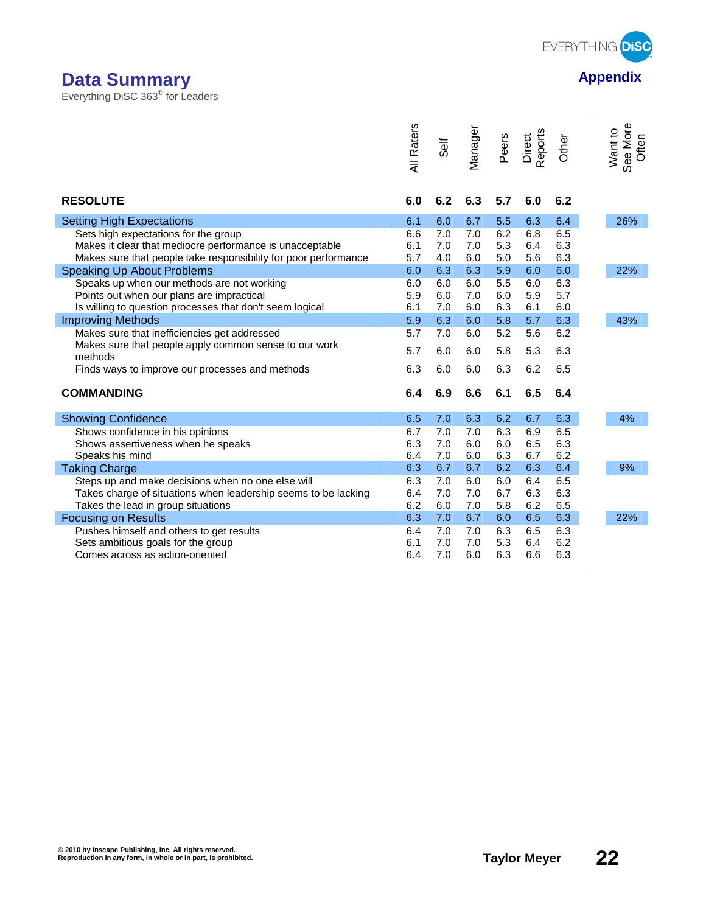

## **Data Summary Appendix Appendix Appendix**

Everything DiSC 363® for Leaders

| <b>All Raters</b><br>Vlanager<br>Direct<br>Reports<br>Peers<br>Other<br>Self                               | See More<br>Want to<br>Often |
|------------------------------------------------------------------------------------------------------------|------------------------------|
| 6.3<br>5.7<br><b>RESOLUTE</b><br>6.0<br>6.2<br>6.0<br>6.2                                                  |                              |
| <b>Setting High Expectations</b><br>6.7<br>5.5<br>6.4<br>6.1<br>6.0<br>6.3                                 | 26%                          |
| 7.0<br>6.2<br>6.8<br>6.5<br>Sets high expectations for the group<br>6.6<br>7.0                             |                              |
| 5.3<br>6.3<br>Makes it clear that mediocre performance is unacceptable<br>6.1<br>7.0<br>7.0<br>6.4         |                              |
| 6.3<br>Makes sure that people take responsibility for poor performance<br>5.7<br>4.0<br>6.0<br>5.0<br>5.6  |                              |
| Speaking Up About Problems<br>6.3<br>6.3<br>5.9<br>6.0<br>6.0<br>6.0                                       | 22%                          |
| 5.5<br>6.3<br>Speaks up when our methods are not working<br>6.0<br>6.0<br>6.0<br>6.0                       |                              |
| 5.9<br>5.7<br>Points out when our plans are impractical<br>5.9<br>6.0<br>7.0<br>6.0                        |                              |
| 6.0<br>7.0<br>6.0<br>6.3<br>6.1<br>Is willing to question processes that don't seem logical<br>6.1         |                              |
| 6.3<br>6.0<br>5.8<br>6.3<br><b>Improving Methods</b><br>5.9<br>5.7                                         | 43%                          |
| 5.2<br>5.6<br>6.2<br>Makes sure that inefficiencies get addressed<br>5.7<br>7.0<br>6.0                     |                              |
| Makes sure that people apply common sense to our work<br>6.0<br>5.8<br>5.3<br>6.3<br>5.7<br>6.0<br>methods |                              |
| 6.3<br>6.2<br>6.3<br>6.0<br>6.0<br>6.5<br>Finds ways to improve our processes and methods                  |                              |
| <b>COMMANDING</b><br>6.4<br>6.9<br>6.6<br>6.1<br>6.5<br>6.4                                                |                              |
| 7.0<br>6.3<br>6.2<br>6.3<br><b>Showing Confidence</b><br>6.5<br>6.7                                        | 4%                           |
| 6.7<br>7.0<br>7.0<br>6.3<br>6.9<br>6.5<br>Shows confidence in his opinions                                 |                              |
| 6.3<br>Shows assertiveness when he speaks<br>6.3<br>7.0<br>6.0<br>6.0<br>6.5                               |                              |
| 6.3<br>6.2<br>Speaks his mind<br>6.4<br>7.0<br>6.0<br>6.7                                                  |                              |
| 6.2<br>6.4<br>6.7<br>6.7<br>6.3<br>6.3<br><b>Taking Charge</b>                                             | 9%                           |
| Steps up and make decisions when no one else will<br>6.3<br>7.0<br>6.0<br>6.0<br>6.4<br>6.5                |                              |
| 7.0<br>6.3<br>6.3<br>Takes charge of situations when leadership seems to be lacking<br>6.4<br>7.0<br>6.7   |                              |
| 6.2<br>Takes the lead in group situations<br>6.2<br>6.0<br>7.0<br>5.8<br>6.5                               |                              |
| 6.3<br>6.3<br>7.0<br>6.7<br>6.5<br>6.0<br><b>Focusing on Results</b>                                       | 22%                          |
| 6.3<br>6.5<br>6.3<br>Pushes himself and others to get results<br>6.4<br>7.0<br>7.0                         |                              |
| 7.0<br>5.3<br>6.2<br>Sets ambitious goals for the group<br>6.1<br>7.0<br>6.4                               |                              |
| 6.3<br>6.3<br>Comes across as action-oriented<br>6.4<br>7.0<br>6.0<br>6.6                                  |                              |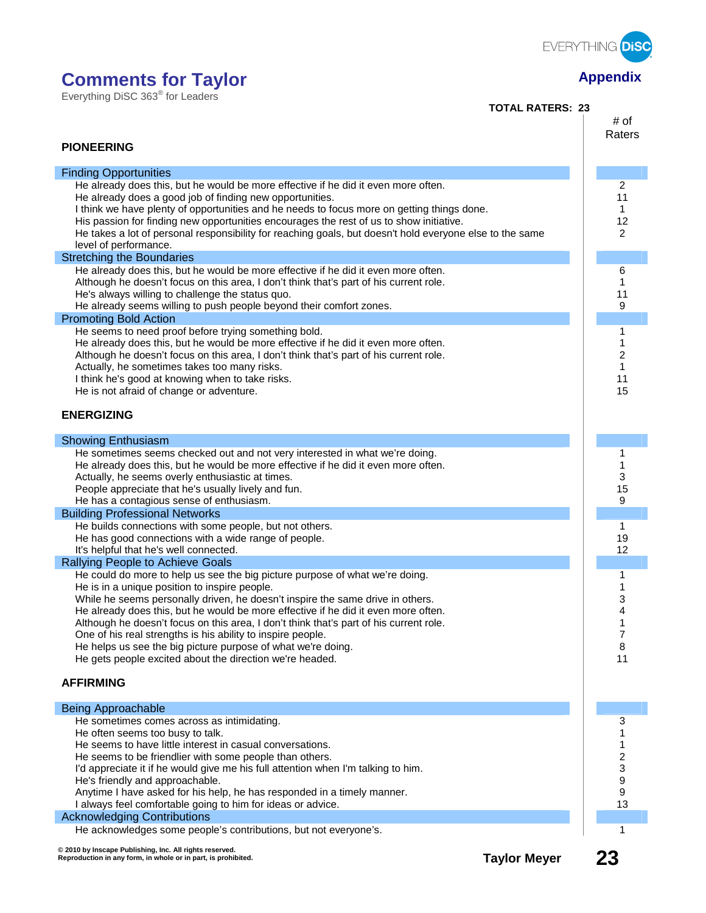

Everything DiSC 363® for Leaders

**TOTAL RATERS: 23**

| <b>PIONEERING</b>                                                                                                                                                                                                                                                                                                                                                                                                                                                                                                                                                                                              | # of<br>Raters                        |
|----------------------------------------------------------------------------------------------------------------------------------------------------------------------------------------------------------------------------------------------------------------------------------------------------------------------------------------------------------------------------------------------------------------------------------------------------------------------------------------------------------------------------------------------------------------------------------------------------------------|---------------------------------------|
|                                                                                                                                                                                                                                                                                                                                                                                                                                                                                                                                                                                                                |                                       |
| <b>Finding Opportunities</b><br>He already does this, but he would be more effective if he did it even more often.                                                                                                                                                                                                                                                                                                                                                                                                                                                                                             | 2                                     |
| He already does a good job of finding new opportunities.<br>I think we have plenty of opportunities and he needs to focus more on getting things done.<br>His passion for finding new opportunities encourages the rest of us to show initiative.<br>He takes a lot of personal responsibility for reaching goals, but doesn't hold everyone else to the same<br>level of performance.                                                                                                                                                                                                                         | 11<br>1<br>12<br>2                    |
| <b>Stretching the Boundaries</b>                                                                                                                                                                                                                                                                                                                                                                                                                                                                                                                                                                               |                                       |
| He already does this, but he would be more effective if he did it even more often.<br>Although he doesn't focus on this area, I don't think that's part of his current role.<br>He's always willing to challenge the status quo.<br>He already seems willing to push people beyond their comfort zones.                                                                                                                                                                                                                                                                                                        | 6<br>11<br>9                          |
| <b>Promoting Bold Action</b>                                                                                                                                                                                                                                                                                                                                                                                                                                                                                                                                                                                   |                                       |
| He seems to need proof before trying something bold.<br>He already does this, but he would be more effective if he did it even more often.<br>Although he doesn't focus on this area, I don't think that's part of his current role.<br>Actually, he sometimes takes too many risks.<br>I think he's good at knowing when to take risks.<br>He is not afraid of change or adventure.<br><b>ENERGIZING</b>                                                                                                                                                                                                      | 1<br>1<br>2<br>1<br>11<br>15          |
|                                                                                                                                                                                                                                                                                                                                                                                                                                                                                                                                                                                                                |                                       |
| <b>Showing Enthusiasm</b>                                                                                                                                                                                                                                                                                                                                                                                                                                                                                                                                                                                      |                                       |
| He sometimes seems checked out and not very interested in what we're doing.<br>He already does this, but he would be more effective if he did it even more often.<br>Actually, he seems overly enthusiastic at times.<br>People appreciate that he's usually lively and fun.<br>He has a contagious sense of enthusiasm.                                                                                                                                                                                                                                                                                       | 1<br>1<br>3<br>15<br>9                |
| <b>Building Professional Networks</b>                                                                                                                                                                                                                                                                                                                                                                                                                                                                                                                                                                          |                                       |
| He builds connections with some people, but not others.<br>He has good connections with a wide range of people.<br>It's helpful that he's well connected.                                                                                                                                                                                                                                                                                                                                                                                                                                                      | 1<br>19<br>12                         |
| Rallying People to Achieve Goals                                                                                                                                                                                                                                                                                                                                                                                                                                                                                                                                                                               |                                       |
| He could do more to help us see the big picture purpose of what we're doing.<br>He is in a unique position to inspire people.<br>While he seems personally driven, he doesn't inspire the same drive in others.<br>He already does this, but he would be more effective if he did it even more often.<br>Although he doesn't focus on this area, I don't think that's part of his current role.<br>One of his real strengths is his ability to inspire people.<br>He helps us see the big picture purpose of what we're doing.<br>He gets people excited about the direction we're headed.<br><b>AFFIRMING</b> | 1<br>1<br>3<br>4<br>1<br>7<br>8<br>11 |
| <b>Being Approachable</b>                                                                                                                                                                                                                                                                                                                                                                                                                                                                                                                                                                                      |                                       |
| He sometimes comes across as intimidating.<br>He often seems too busy to talk.<br>He seems to have little interest in casual conversations.<br>He seems to be friendlier with some people than others.<br>I'd appreciate it if he would give me his full attention when I'm talking to him.<br>He's friendly and approachable.<br>Anytime I have asked for his help, he has responded in a timely manner.<br>I always feel comfortable going to him for ideas or advice.<br><b>Acknowledging Contributions</b>                                                                                                 | 3<br>2<br>3<br>9<br>9<br>13           |
| He acknowledges some people's contributions, but not everyone's.                                                                                                                                                                                                                                                                                                                                                                                                                                                                                                                                               | 1                                     |
| © 2010 by Inscape Publishing, Inc. All rights reserved.<br><b>Taylor Meyer</b><br>Reproduction in any form, in whole or in part, is prohibited.                                                                                                                                                                                                                                                                                                                                                                                                                                                                | 23                                    |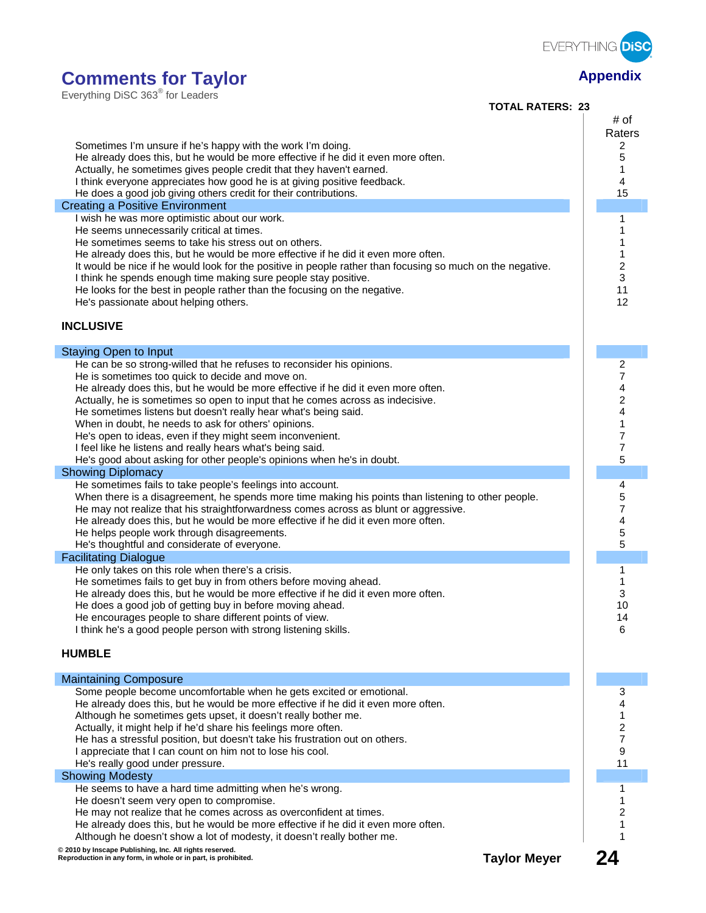

| Everything DiSC 363 <sup>®</sup> for Leaders |  |  |
|----------------------------------------------|--|--|
|                                              |  |  |

**TOTAL RATERS: 23**

| Sometimes I'm unsure if he's happy with the work I'm doing.<br>He already does this, but he would be more effective if he did it even more often.<br>Actually, he sometimes gives people credit that they haven't earned.<br>I think everyone appreciates how good he is at giving positive feedback.<br>He does a good job giving others credit for their contributions.<br><b>Creating a Positive Environment</b><br>I wish he was more optimistic about our work.<br>He seems unnecessarily critical at times.<br>He sometimes seems to take his stress out on others.<br>He already does this, but he would be more effective if he did it even more often.<br>It would be nice if he would look for the positive in people rather than focusing so much on the negative.<br>I think he spends enough time making sure people stay positive.<br>He looks for the best in people rather than the focusing on the negative.<br>He's passionate about helping others.<br><b>INCLUSIVE</b> | # of<br>Raters<br>2<br>5<br>1<br>4<br>15<br>1<br>1<br>2<br>3<br>11<br>12 |
|--------------------------------------------------------------------------------------------------------------------------------------------------------------------------------------------------------------------------------------------------------------------------------------------------------------------------------------------------------------------------------------------------------------------------------------------------------------------------------------------------------------------------------------------------------------------------------------------------------------------------------------------------------------------------------------------------------------------------------------------------------------------------------------------------------------------------------------------------------------------------------------------------------------------------------------------------------------------------------------------|--------------------------------------------------------------------------|
| <b>Staying Open to Input</b>                                                                                                                                                                                                                                                                                                                                                                                                                                                                                                                                                                                                                                                                                                                                                                                                                                                                                                                                                               |                                                                          |
| He can be so strong-willed that he refuses to reconsider his opinions.<br>He is sometimes too quick to decide and move on.<br>He already does this, but he would be more effective if he did it even more often.<br>Actually, he is sometimes so open to input that he comes across as indecisive.<br>He sometimes listens but doesn't really hear what's being said.<br>When in doubt, he needs to ask for others' opinions.<br>He's open to ideas, even if they might seem inconvenient.<br>I feel like he listens and really hears what's being said.<br>He's good about asking for other people's opinions when he's in doubt.<br><b>Showing Diplomacy</b>                                                                                                                                                                                                                                                                                                                             | 2<br>7<br>4<br>2<br>4<br>1<br>7<br>7<br>5                                |
| He sometimes fails to take people's feelings into account.<br>When there is a disagreement, he spends more time making his points than listening to other people.<br>He may not realize that his straightforwardness comes across as blunt or aggressive.<br>He already does this, but he would be more effective if he did it even more often.<br>He helps people work through disagreements.<br>He's thoughtful and considerate of everyone.                                                                                                                                                                                                                                                                                                                                                                                                                                                                                                                                             | 4<br>5<br>7<br>4<br>5<br>5                                               |
| <b>Facilitating Dialogue</b>                                                                                                                                                                                                                                                                                                                                                                                                                                                                                                                                                                                                                                                                                                                                                                                                                                                                                                                                                               |                                                                          |
| He only takes on this role when there's a crisis.<br>He sometimes fails to get buy in from others before moving ahead.<br>He already does this, but he would be more effective if he did it even more often.<br>He does a good job of getting buy in before moving ahead.<br>He encourages people to share different points of view.<br>I think he's a good people person with strong listening skills.<br><b>HUMBLE</b>                                                                                                                                                                                                                                                                                                                                                                                                                                                                                                                                                                   | 1<br>3<br>10<br>14<br>6                                                  |
| <b>Maintaining Composure</b>                                                                                                                                                                                                                                                                                                                                                                                                                                                                                                                                                                                                                                                                                                                                                                                                                                                                                                                                                               |                                                                          |
| Some people become uncomfortable when he gets excited or emotional.<br>He already does this, but he would be more effective if he did it even more often.<br>Although he sometimes gets upset, it doesn't really bother me.<br>Actually, it might help if he'd share his feelings more often.<br>He has a stressful position, but doesn't take his frustration out on others.<br>I appreciate that I can count on him not to lose his cool.<br>He's really good under pressure.                                                                                                                                                                                                                                                                                                                                                                                                                                                                                                            | 3<br>4<br>1<br>2<br>7<br>9<br>11                                         |
| <b>Showing Modesty</b>                                                                                                                                                                                                                                                                                                                                                                                                                                                                                                                                                                                                                                                                                                                                                                                                                                                                                                                                                                     |                                                                          |
| He seems to have a hard time admitting when he's wrong.<br>He doesn't seem very open to compromise.<br>He may not realize that he comes across as overconfident at times.<br>He already does this, but he would be more effective if he did it even more often.<br>Although he doesn't show a lot of modesty, it doesn't really bother me.<br>© 2010 by Inscape Publishing, Inc. All rights reserved.                                                                                                                                                                                                                                                                                                                                                                                                                                                                                                                                                                                      | 1<br>1                                                                   |
| <b>Taylor Meyer</b><br>Reproduction in any form, in whole or in part, is prohibited.                                                                                                                                                                                                                                                                                                                                                                                                                                                                                                                                                                                                                                                                                                                                                                                                                                                                                                       | 24                                                                       |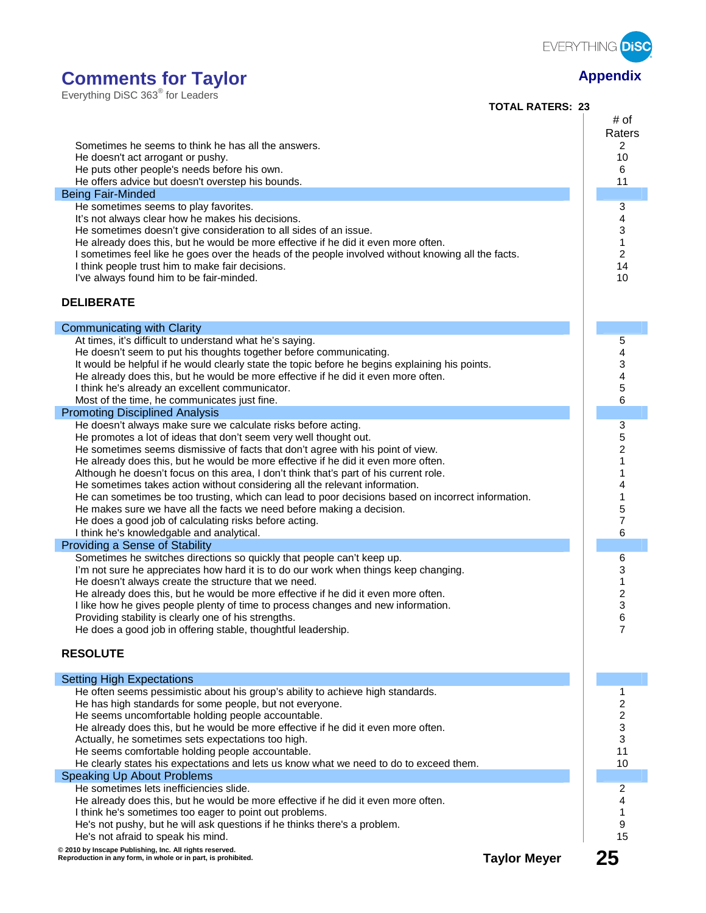

Everything DiSC 363® for Leaders

I

I

I

I

I

| LVCIVILIIIY DIOO JOJ TOI LCQUCIJ<br><b>TOTAL RATERS: 23</b>                                                                                                                                                                                                                                                                                                                                                                                                                                                                                                                                                                                                                                               |                                                           |
|-----------------------------------------------------------------------------------------------------------------------------------------------------------------------------------------------------------------------------------------------------------------------------------------------------------------------------------------------------------------------------------------------------------------------------------------------------------------------------------------------------------------------------------------------------------------------------------------------------------------------------------------------------------------------------------------------------------|-----------------------------------------------------------|
| Sometimes he seems to think he has all the answers.                                                                                                                                                                                                                                                                                                                                                                                                                                                                                                                                                                                                                                                       | # of<br>Raters<br>2                                       |
| He doesn't act arrogant or pushy.<br>He puts other people's needs before his own.<br>He offers advice but doesn't overstep his bounds.                                                                                                                                                                                                                                                                                                                                                                                                                                                                                                                                                                    | 10<br>6<br>11                                             |
| <b>Being Fair-Minded</b>                                                                                                                                                                                                                                                                                                                                                                                                                                                                                                                                                                                                                                                                                  |                                                           |
| He sometimes seems to play favorites.<br>It's not always clear how he makes his decisions.<br>He sometimes doesn't give consideration to all sides of an issue.<br>He already does this, but he would be more effective if he did it even more often.<br>I sometimes feel like he goes over the heads of the people involved without knowing all the facts.<br>I think people trust him to make fair decisions.<br>I've always found him to be fair-minded.<br><b>DELIBERATE</b>                                                                                                                                                                                                                          | 3<br>4<br>3<br>$\mathbf{1}$<br>$\overline{c}$<br>14<br>10 |
| <b>Communicating with Clarity</b>                                                                                                                                                                                                                                                                                                                                                                                                                                                                                                                                                                                                                                                                         |                                                           |
| At times, it's difficult to understand what he's saying.<br>He doesn't seem to put his thoughts together before communicating.<br>It would be helpful if he would clearly state the topic before he begins explaining his points.<br>He already does this, but he would be more effective if he did it even more often.<br>I think he's already an excellent communicator.<br>Most of the time, he communicates just fine.<br><b>Promoting Disciplined Analysis</b>                                                                                                                                                                                                                                       | 5<br>4<br>3<br>4<br>5<br>6                                |
| He doesn't always make sure we calculate risks before acting.                                                                                                                                                                                                                                                                                                                                                                                                                                                                                                                                                                                                                                             | 3                                                         |
| He promotes a lot of ideas that don't seem very well thought out.<br>He sometimes seems dismissive of facts that don't agree with his point of view.<br>He already does this, but he would be more effective if he did it even more often.<br>Although he doesn't focus on this area, I don't think that's part of his current role.<br>He sometimes takes action without considering all the relevant information.<br>He can sometimes be too trusting, which can lead to poor decisions based on incorrect information.<br>He makes sure we have all the facts we need before making a decision.<br>He does a good job of calculating risks before acting.<br>I think he's knowledgable and analytical. | 5<br>2<br>1<br>1<br>4<br>1<br>5<br>7<br>6                 |
| Providing a Sense of Stability                                                                                                                                                                                                                                                                                                                                                                                                                                                                                                                                                                                                                                                                            |                                                           |
| Sometimes he switches directions so quickly that people can't keep up.<br>I'm not sure he appreciates how hard it is to do our work when things keep changing.<br>He doesn't always create the structure that we need.<br>He already does this, but he would be more effective if he did it even more often.<br>I like how he gives people plenty of time to process changes and new information.<br>Providing stability is clearly one of his strengths.<br>He does a good job in offering stable, thoughtful leadership.<br><b>RESOLUTE</b>                                                                                                                                                             | 6<br>3<br>1<br>$\overline{\mathbf{c}}$<br>3<br>6<br>7     |
| <b>Setting High Expectations</b>                                                                                                                                                                                                                                                                                                                                                                                                                                                                                                                                                                                                                                                                          |                                                           |
| He often seems pessimistic about his group's ability to achieve high standards.<br>He has high standards for some people, but not everyone.<br>He seems uncomfortable holding people accountable.<br>He already does this, but he would be more effective if he did it even more often.<br>Actually, he sometimes sets expectations too high.<br>He seems comfortable holding people accountable.<br>He clearly states his expectations and lets us know what we need to do to exceed them.                                                                                                                                                                                                               | 1<br>2<br>2<br>3<br>3<br>11<br>10                         |
| <b>Speaking Up About Problems</b>                                                                                                                                                                                                                                                                                                                                                                                                                                                                                                                                                                                                                                                                         |                                                           |
| He sometimes lets inefficiencies slide.<br>He already does this, but he would be more effective if he did it even more often.<br>I think he's sometimes too eager to point out problems.<br>He's not pushy, but he will ask questions if he thinks there's a problem.<br>He's not afraid to speak his mind.                                                                                                                                                                                                                                                                                                                                                                                               | 2<br>4<br>1<br>9<br>15                                    |
| @ 2010 by Inscape Publishing, Inc. All rights reserved.<br><b>Taylor Meyer</b><br>Reproduction in any form, in whole or in part, is prohibited.                                                                                                                                                                                                                                                                                                                                                                                                                                                                                                                                                           | 25                                                        |